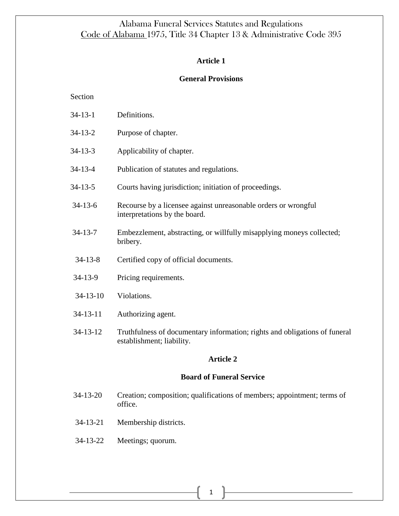## **Article 1**

### **General Provisions**

Section

- 34-13-2 Purpose of chapter.
- [34-13-3](http://alisondb.legislature.state.al.us/acas/CodeOfAlabama/1975/34-13-3.htm) Applicability of chapter.
- [34-13-4](http://alisondb.legislature.state.al.us/acas/CodeOfAlabama/1975/34-13-4.htm) Publication of statutes and regulations.
- [34-13-5](http://alisondb.legislature.state.al.us/acas/CodeOfAlabama/1975/34-13-5.htm) Courts having jurisdiction; initiation of proceedings.
- [34-13-6](http://alisondb.legislature.state.al.us/acas/CodeOfAlabama/1975/34-13-6.htm) Recourse by a licensee against unreasonable orders or wrongful interpretations by the board.
- [34-13-7](http://alisondb.legislature.state.al.us/acas/CodeOfAlabama/1975/34-13-7.htm) Embezzlement, abstracting, or willfully misapplying moneys collected; bribery.
- [34-13-8](http://alisondb.legislature.state.al.us/acas/CodeOfAlabama/1975/34-13-8.htm) Certified copy of official documents.
- [34-13-9](http://alisondb.legislature.state.al.us/acas/CodeOfAlabama/1975/34-13-9.htm) Pricing requirements.
- [34-13-10](http://alisondb.legislature.state.al.us/acas/CodeOfAlabama/1975/34-13-10.htm) Violations.
- 34-13-11 Authorizing agent.
- [34-13-12](http://alisondb.legislature.state.al.us/acas/CodeOfAlabama/1975/34-13-12.htm) Truthfulness of documentary information; rights and obligations of funeral establishment; liability.

## **Article 2**

### **Board of Funeral Service**

- 34-13-20 Creation; composition; qualifications of members; appointment; terms of office.
- [34-13-21](http://alisondb.legislature.state.al.us/acas/CodeOfAlabama/1975/34-13-21.htm) Membership districts.
- [34-13-22](http://alisondb.legislature.state.al.us/acas/CodeOfAlabama/1975/34-13-22.htm) Meetings; quorum.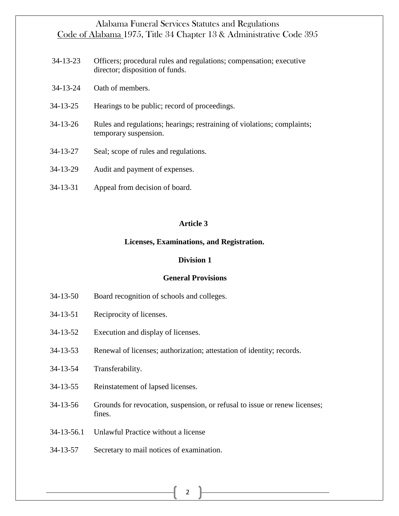- [34-13-23](http://alisondb.legislature.state.al.us/acas/CodeOfAlabama/1975/34-13-23.htm) Officers; procedural rules and regulations; compensation; executive director; disposition of funds.
- [34-13-24](http://alisondb.legislature.state.al.us/acas/CodeOfAlabama/1975/34-13-24.htm) Oath of members.
- [34-13-25](http://alisondb.legislature.state.al.us/acas/CodeOfAlabama/1975/34-13-25.htm) Hearings to be public; record of proceedings.
- [34-13-26](http://alisondb.legislature.state.al.us/acas/CodeOfAlabama/1975/34-13-26.htm) Rules and regulations; hearings; restraining of violations; complaints; temporary suspension.
- [34-13-27](http://alisondb.legislature.state.al.us/acas/CodeOfAlabama/1975/34-13-27.htm) Seal; scope of rules and regulations.
- [34-13-29](http://alisondb.legislature.state.al.us/acas/CodeOfAlabama/1975/34-13-29.htm) Audit and payment of expenses.
- [34-13-31](http://alisondb.legislature.state.al.us/acas/CodeOfAlabama/1975/34-13-31.htm) Appeal from decision of board.

### **Article 3**

#### **Licenses, Examinations, and Registration.**

### **Division 1**

## **General Provisions**

- [34-13-50](http://alisondb.legislature.state.al.us/acas/CodeOfAlabama/1975/34-13-50.htm) Board recognition of schools and colleges.
- [34-13-51](http://alisondb.legislature.state.al.us/acas/CodeOfAlabama/1975/34-13-51.htm) Reciprocity of licenses.
- [34-13-52](http://alisondb.legislature.state.al.us/acas/CodeOfAlabama/1975/34-13-52.htm) Execution and display of licenses.
- [34-13-53](http://alisondb.legislature.state.al.us/acas/CodeOfAlabama/1975/34-13-53.htm) Renewal of licenses; authorization; attestation of identity; records.
- [34-13-54](http://alisondb.legislature.state.al.us/acas/CodeOfAlabama/1975/34-13-54.htm) Transferability.
- [34-13-55](http://alisondb.legislature.state.al.us/acas/CodeOfAlabama/1975/34-13-55.htm) Reinstatement of lapsed licenses.
- [34-13-56](http://alisondb.legislature.state.al.us/acas/CodeOfAlabama/1975/34-13-56.htm) Grounds for revocation, suspension, or refusal to issue or renew licenses; fines.
- 34-13-56.1 Unlawful Practice without a license
- [34-13-57](http://alisondb.legislature.state.al.us/acas/CodeOfAlabama/1975/34-13-57.htm) Secretary to mail notices of examination.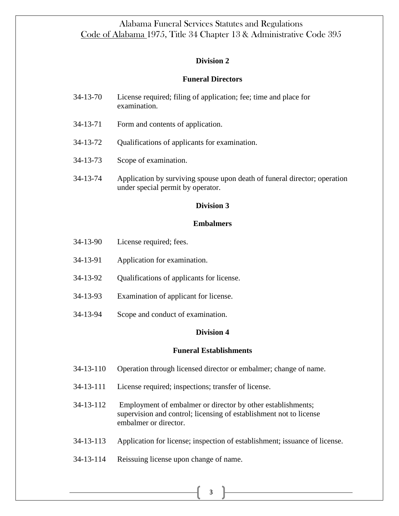## **Division 2**

## **Funeral Directors**

- [34-13-70](http://alisondb.legislature.state.al.us/acas/CodeOfAlabama/1975/34-13-70.htm) License required; filing of application; fee; time and place for examination.
- [34-13-71](http://alisondb.legislature.state.al.us/acas/CodeOfAlabama/1975/34-13-71.htm) Form and contents of application.
- [34-13-72](http://alisondb.legislature.state.al.us/acas/CodeOfAlabama/1975/34-13-72.htm) Qualifications of applicants for examination.
- [34-13-73](http://alisondb.legislature.state.al.us/acas/CodeOfAlabama/1975/34-13-73.htm) Scope of examination.
- [34-13-74](http://alisondb.legislature.state.al.us/acas/CodeOfAlabama/1975/34-13-74.htm) Application by surviving spouse upon death of funeral director; operation under special permit by operator.

### **Division 3**

### **Embalmers**

- [34-13-90](http://alisondb.legislature.state.al.us/acas/CodeOfAlabama/1975/34-13-90.htm) License required; fees.
- [34-13-91](http://alisondb.legislature.state.al.us/acas/CodeOfAlabama/1975/34-13-91.htm) Application for examination.
- [34-13-92](http://alisondb.legislature.state.al.us/acas/CodeOfAlabama/1975/34-13-92.htm) Qualifications of applicants for license.
- [34-13-93](http://alisondb.legislature.state.al.us/acas/CodeOfAlabama/1975/34-13-93.htm) Examination of applicant for license.
- [34-13-94](http://alisondb.legislature.state.al.us/acas/CodeOfAlabama/1975/34-13-94.htm) Scope and conduct of examination.

### **Division 4**

### **Funeral Establishments**

- [34-13-110](http://alisondb.legislature.state.al.us/acas/CodeOfAlabama/1975/34-13-110.htm) Operation through licensed director or embalmer; change of name.
- [34-13-111](http://alisondb.legislature.state.al.us/acas/CodeOfAlabama/1975/34-13-111.htm) License required; inspections; transfer of license.
- [34-13-112](http://alisondb.legislature.state.al.us/acas/CodeOfAlabama/1975/34-13-112.htm) Employment of embalmer or director by other establishments; supervision and control; licensing of establishment not to license embalmer or director.
- [34-13-113](http://alisondb.legislature.state.al.us/acas/CodeOfAlabama/1975/34-13-113.htm) Application for license; inspection of establishment; issuance of license.
- [34-13-114](http://alisondb.legislature.state.al.us/acas/CodeOfAlabama/1975/34-13-114.htm) Reissuing license upon change of name.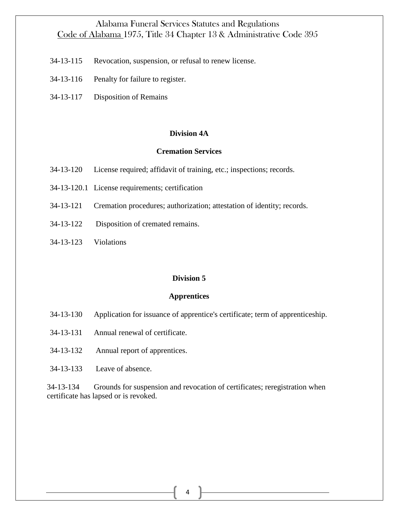- [34-13-115](http://alisondb.legislature.state.al.us/acas/CodeOfAlabama/1975/34-13-115.htm) Revocation, suspension, or refusal to renew license.
- [34-13-116](http://alisondb.legislature.state.al.us/acas/CodeOfAlabama/1975/34-13-116.htm) Penalty for failure to register.
- 34-13-117 Disposition of Remains

#### **Division 4A**

#### **Cremation Services**

- [34-13-120](http://alisondb.legislature.state.al.us/acas/CodeOfAlabama/1975/34-13-120.htm) License required; affidavit of training, etc.; inspections; records.
- 34-13-120.1 License requirements; certification
- [34-13-121](http://alisondb.legislature.state.al.us/acas/CodeOfAlabama/1975/34-13-121.htm) Cremation procedures; authorization; attestation of identity; records.
- [34-13-122](http://alisondb.legislature.state.al.us/acas/CodeOfAlabama/1975/34-13-122.htm) Disposition of cremated remains.
- 34-13-123 Violations

#### **Division 5**

#### **Apprentices**

- [34-13-130](http://alisondb.legislature.state.al.us/acas/CodeOfAlabama/1975/34-13-130.htm) Application for issuance of apprentice's certificate; term of apprenticeship.
- [34-13-131](http://alisondb.legislature.state.al.us/acas/CodeOfAlabama/1975/34-13-131.htm) Annual renewal of certificate.
- [34-13-132](http://alisondb.legislature.state.al.us/acas/CodeOfAlabama/1975/34-13-132.htm) Annual report of apprentices.
- [34-13-133](http://alisondb.legislature.state.al.us/acas/CodeOfAlabama/1975/34-13-133.htm) Leave of absence.

[34-13-134](http://alisondb.legislature.state.al.us/acas/CodeOfAlabama/1975/34-13-134.htm) Grounds for suspension and revocation of certificates; reregistration when certificate has lapsed or is revoked.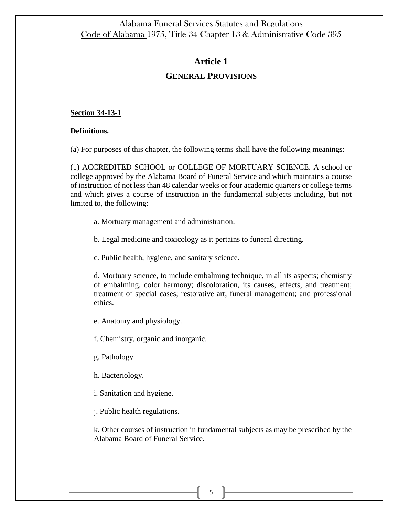# **Article 1**

# **GENERAL PROVISIONS**

## **Section 34-13-1**

## **Definitions.**

(a) For purposes of this chapter, the following terms shall have the following meanings:

(1) ACCREDITED SCHOOL or COLLEGE OF MORTUARY SCIENCE. A school or college approved by the Alabama Board of Funeral Service and which maintains a course of instruction of not less than 48 calendar weeks or four academic quarters or college terms and which gives a course of instruction in the fundamental subjects including, but not limited to, the following:

a. Mortuary management and administration.

b. Legal medicine and toxicology as it pertains to funeral directing.

c. Public health, hygiene, and sanitary science.

d. Mortuary science, to include embalming technique, in all its aspects; chemistry of embalming, color harmony; discoloration, its causes, effects, and treatment; treatment of special cases; restorative art; funeral management; and professional ethics.

e. Anatomy and physiology.

f. Chemistry, organic and inorganic.

g. Pathology.

h. Bacteriology.

i. Sanitation and hygiene.

j. Public health regulations.

k. Other courses of instruction in fundamental subjects as may be prescribed by the Alabama Board of Funeral Service.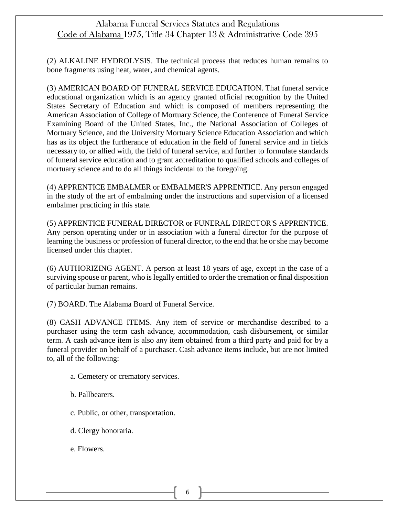(2) ALKALINE HYDROLYSIS. The technical process that reduces human remains to bone fragments using heat, water, and chemical agents.

(3) AMERICAN BOARD OF FUNERAL SERVICE EDUCATION. That funeral service educational organization which is an agency granted official recognition by the United States Secretary of Education and which is composed of members representing the American Association of College of Mortuary Science, the Conference of Funeral Service Examining Board of the United States, Inc., the National Association of Colleges of Mortuary Science, and the University Mortuary Science Education Association and which has as its object the furtherance of education in the field of funeral service and in fields necessary to, or allied with, the field of funeral service, and further to formulate standards of funeral service education and to grant accreditation to qualified schools and colleges of mortuary science and to do all things incidental to the foregoing.

(4) APPRENTICE EMBALMER or EMBALMER'S APPRENTICE. Any person engaged in the study of the art of embalming under the instructions and supervision of a licensed embalmer practicing in this state.

(5) APPRENTICE FUNERAL DIRECTOR or FUNERAL DIRECTOR'S APPRENTICE. Any person operating under or in association with a funeral director for the purpose of learning the business or profession of funeral director, to the end that he or she may become licensed under this chapter.

(6) AUTHORIZING AGENT. A person at least 18 years of age, except in the case of a surviving spouse or parent, who is legally entitled to order the cremation or final disposition of particular human remains.

(7) BOARD. The Alabama Board of Funeral Service.

(8) CASH ADVANCE ITEMS. Any item of service or merchandise described to a purchaser using the term cash advance, accommodation, cash disbursement, or similar term. A cash advance item is also any item obtained from a third party and paid for by a funeral provider on behalf of a purchaser. Cash advance items include, but are not limited to, all of the following:

- a. Cemetery or crematory services.
- b. Pallbearers.
- c. Public, or other, transportation.
- d. Clergy honoraria.
- e. Flowers.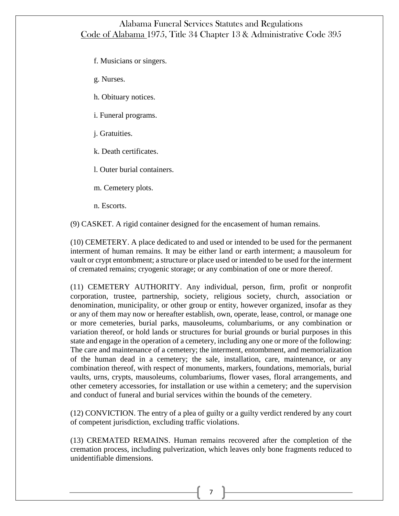f. Musicians or singers.

g. Nurses.

h. Obituary notices.

i. Funeral programs.

j. Gratuities.

k. Death certificates.

l. Outer burial containers.

m. Cemetery plots.

n. Escorts.

(9) CASKET. A rigid container designed for the encasement of human remains.

(10) CEMETERY. A place dedicated to and used or intended to be used for the permanent interment of human remains. It may be either land or earth interment; a mausoleum for vault or crypt entombment; a structure or place used or intended to be used for the interment of cremated remains; cryogenic storage; or any combination of one or more thereof.

(11) CEMETERY AUTHORITY. Any individual, person, firm, profit or nonprofit corporation, trustee, partnership, society, religious society, church, association or denomination, municipality, or other group or entity, however organized, insofar as they or any of them may now or hereafter establish, own, operate, lease, control, or manage one or more cemeteries, burial parks, mausoleums, columbariums, or any combination or variation thereof, or hold lands or structures for burial grounds or burial purposes in this state and engage in the operation of a cemetery, including any one or more of the following: The care and maintenance of a cemetery; the interment, entombment, and memorialization of the human dead in a cemetery; the sale, installation, care, maintenance, or any combination thereof, with respect of monuments, markers, foundations, memorials, burial vaults, urns, crypts, mausoleums, columbariums, flower vases, floral arrangements, and other cemetery accessories, for installation or use within a cemetery; and the supervision and conduct of funeral and burial services within the bounds of the cemetery.

(12) CONVICTION. The entry of a plea of guilty or a guilty verdict rendered by any court of competent jurisdiction, excluding traffic violations.

(13) CREMATED REMAINS. Human remains recovered after the completion of the cremation process, including pulverization, which leaves only bone fragments reduced to unidentifiable dimensions.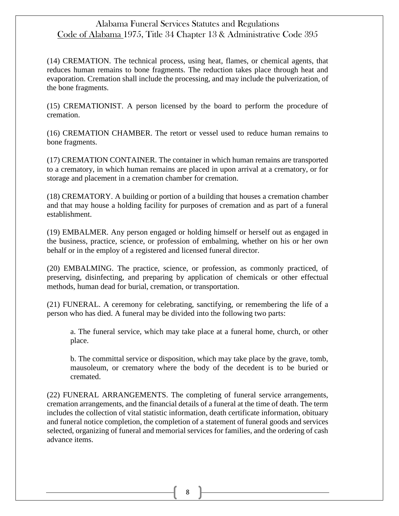(14) CREMATION. The technical process, using heat, flames, or chemical agents, that reduces human remains to bone fragments. The reduction takes place through heat and evaporation. Cremation shall include the processing, and may include the pulverization, of the bone fragments.

(15) CREMATIONIST. A person licensed by the board to perform the procedure of cremation.

(16) CREMATION CHAMBER. The retort or vessel used to reduce human remains to bone fragments.

(17) CREMATION CONTAINER. The container in which human remains are transported to a crematory, in which human remains are placed in upon arrival at a crematory, or for storage and placement in a cremation chamber for cremation.

(18) CREMATORY. A building or portion of a building that houses a cremation chamber and that may house a holding facility for purposes of cremation and as part of a funeral establishment.

(19) EMBALMER. Any person engaged or holding himself or herself out as engaged in the business, practice, science, or profession of embalming, whether on his or her own behalf or in the employ of a registered and licensed funeral director.

(20) EMBALMING. The practice, science, or profession, as commonly practiced, of preserving, disinfecting, and preparing by application of chemicals or other effectual methods, human dead for burial, cremation, or transportation.

(21) FUNERAL. A ceremony for celebrating, sanctifying, or remembering the life of a person who has died. A funeral may be divided into the following two parts:

a. The funeral service, which may take place at a funeral home, church, or other place.

b. The committal service or disposition, which may take place by the grave, tomb, mausoleum, or crematory where the body of the decedent is to be buried or cremated.

(22) FUNERAL ARRANGEMENTS. The completing of funeral service arrangements, cremation arrangements, and the financial details of a funeral at the time of death. The term includes the collection of vital statistic information, death certificate information, obituary and funeral notice completion, the completion of a statement of funeral goods and services selected, organizing of funeral and memorial services for families, and the ordering of cash advance items.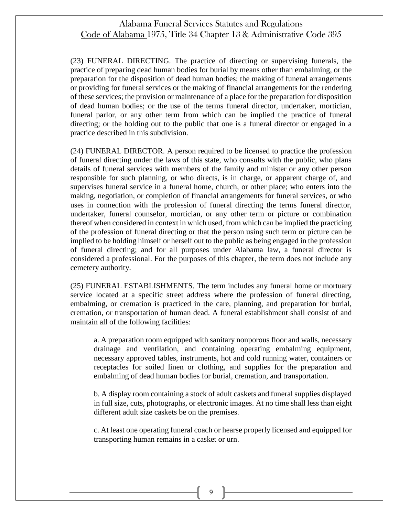(23) FUNERAL DIRECTING. The practice of directing or supervising funerals, the practice of preparing dead human bodies for burial by means other than embalming, or the preparation for the disposition of dead human bodies; the making of funeral arrangements or providing for funeral services or the making of financial arrangements for the rendering of these services; the provision or maintenance of a place for the preparation for disposition of dead human bodies; or the use of the terms funeral director, undertaker, mortician, funeral parlor, or any other term from which can be implied the practice of funeral directing; or the holding out to the public that one is a funeral director or engaged in a practice described in this subdivision.

(24) FUNERAL DIRECTOR. A person required to be licensed to practice the profession of funeral directing under the laws of this state, who consults with the public, who plans details of funeral services with members of the family and minister or any other person responsible for such planning, or who directs, is in charge, or apparent charge of, and supervises funeral service in a funeral home, church, or other place; who enters into the making, negotiation, or completion of financial arrangements for funeral services, or who uses in connection with the profession of funeral directing the terms funeral director, undertaker, funeral counselor, mortician, or any other term or picture or combination thereof when considered in context in which used, from which can be implied the practicing of the profession of funeral directing or that the person using such term or picture can be implied to be holding himself or herself out to the public as being engaged in the profession of funeral directing; and for all purposes under Alabama law, a funeral director is considered a professional. For the purposes of this chapter, the term does not include any cemetery authority.

(25) FUNERAL ESTABLISHMENTS. The term includes any funeral home or mortuary service located at a specific street address where the profession of funeral directing, embalming, or cremation is practiced in the care, planning, and preparation for burial, cremation, or transportation of human dead. A funeral establishment shall consist of and maintain all of the following facilities:

a. A preparation room equipped with sanitary nonporous floor and walls, necessary drainage and ventilation, and containing operating embalming equipment, necessary approved tables, instruments, hot and cold running water, containers or receptacles for soiled linen or clothing, and supplies for the preparation and embalming of dead human bodies for burial, cremation, and transportation.

b. A display room containing a stock of adult caskets and funeral supplies displayed in full size, cuts, photographs, or electronic images. At no time shall less than eight different adult size caskets be on the premises.

c. At least one operating funeral coach or hearse properly licensed and equipped for transporting human remains in a casket or urn.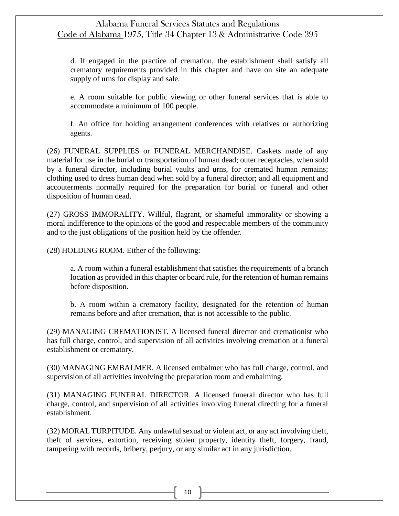d. If engaged in the practice of cremation, the establishment shall satisfy all crematory requirements provided in this chapter and have on site an adequate supply of urns for display and sale.

e. A room suitable for public viewing or other funeral services that is able to accommodate a minimum of 100 people.

f. An office for holding arrangement conferences with relatives or authorizing agents.

(26) FUNERAL SUPPLIES or FUNERAL MERCHANDISE. Caskets made of any material for use in the burial or transportation of human dead; outer receptacles, when sold by a funeral director, including burial vaults and urns, for cremated human remains; clothing used to dress human dead when sold by a funeral director; and all equipment and accouterments normally required for the preparation for burial or funeral and other disposition of human dead.

(27) GROSS IMMORALITY. Willful, flagrant, or shameful immorality or showing a moral indifference to the opinions of the good and respectable members of the community and to the just obligations of the position held by the offender.

(28) HOLDING ROOM. Either of the following:

a. A room within a funeral establishment that satisfies the requirements of a branch location as provided in this chapter or board rule, for the retention of human remains before disposition.

b. A room within a crematory facility, designated for the retention of human remains before and after cremation, that is not accessible to the public.

(29) MANAGING CREMATIONIST. A licensed funeral director and cremationist who has full charge, control, and supervision of all activities involving cremation at a funeral establishment or crematory.

(30) MANAGING EMBALMER. A licensed embalmer who has full charge, control, and supervision of all activities involving the preparation room and embalming.

(31) MANAGING FUNERAL DIRECTOR. A licensed funeral director who has full charge, control, and supervision of all activities involving funeral directing for a funeral establishment.

(32) MORAL TURPITUDE. Any unlawful sexual or violent act, or any act involving theft, theft of services, extortion, receiving stolen property, identity theft, forgery, fraud, tampering with records, bribery, perjury, or any similar act in any jurisdiction.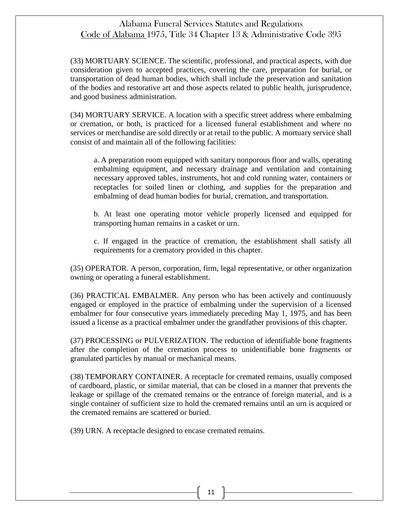(33) MORTUARY SCIENCE. The scientific, professional, and practical aspects, with due consideration given to accepted practices, covering the care, preparation for burial, or transportation of dead human bodies, which shall include the preservation and sanitation of the bodies and restorative art and those aspects related to public health, jurisprudence, and good business administration.

(34) MORTUARY SERVICE. A location with a specific street address where embalming or cremation, or both, is practiced for a licensed funeral establishment and where no services or merchandise are sold directly or at retail to the public. A mortuary service shall consist of and maintain all of the following facilities:

a. A preparation room equipped with sanitary nonporous floor and walls, operating embalming equipment, and necessary drainage and ventilation and containing necessary approved tables, instruments, hot and cold running water, containers or receptacles for soiled linen or clothing, and supplies for the preparation and embalming of dead human bodies for burial, cremation, and transportation.

b. At least one operating motor vehicle properly licensed and equipped for transporting human remains in a casket or urn.

c. If engaged in the practice of cremation, the establishment shall satisfy all requirements for a crematory provided in this chapter.

(35) OPERATOR. A person, corporation, firm, legal representative, or other organization owning or operating a funeral establishment.

(36) PRACTICAL EMBALMER. Any person who has been actively and continuously engaged or employed in the practice of embalming under the supervision of a licensed embalmer for four consecutive years immediately preceding May 1, 1975, and has been issued a license as a practical embalmer under the grandfather provisions of this chapter.

(37) PROCESSING or PULVERIZATION. The reduction of identifiable bone fragments after the completion of the cremation process to unidentifiable bone fragments or granulated particles by manual or mechanical means.

(38) TEMPORARY CONTAINER. A receptacle for cremated remains, usually composed of cardboard, plastic, or similar material, that can be closed in a manner that prevents the leakage or spillage of the cremated remains or the entrance of foreign material, and is a single container of sufficient size to hold the cremated remains until an urn is acquired or the cremated remains are scattered or buried.

(39) URN. A receptacle designed to encase cremated remains.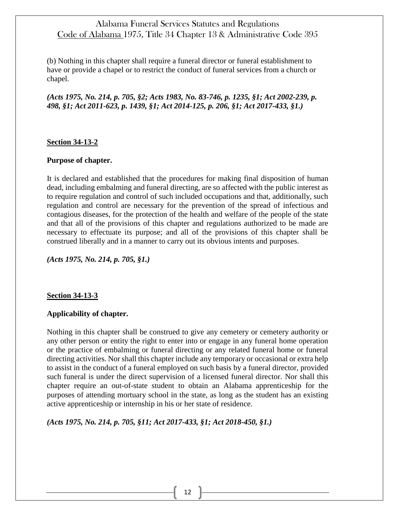(b) Nothing in this chapter shall require a funeral director or funeral establishment to have or provide a chapel or to restrict the conduct of funeral services from a church or chapel.

*(Acts 1975, No. 214, p. 705, §2; Acts 1983, No. 83-746, p. 1235, §1; Act 2002-239, p. 498, §1; Act 2011-623, p. 1439, §1; Act 2014-125, p. 206, §1; Act 2017-433, §1.)*

#### **Section 34-13-2**

#### **Purpose of chapter.**

It is declared and established that the procedures for making final disposition of human dead, including embalming and funeral directing, are so affected with the public interest as to require regulation and control of such included occupations and that, additionally, such regulation and control are necessary for the prevention of the spread of infectious and contagious diseases, for the protection of the health and welfare of the people of the state and that all of the provisions of this chapter and regulations authorized to be made are necessary to effectuate its purpose; and all of the provisions of this chapter shall be construed liberally and in a manner to carry out its obvious intents and purposes.

*(Acts 1975, No. 214, p. 705, §1.)*

#### **Section 34-13-3**

### **Applicability of chapter.**

Nothing in this chapter shall be construed to give any cemetery or cemetery authority or any other person or entity the right to enter into or engage in any funeral home operation or the practice of embalming or funeral directing or any related funeral home or funeral directing activities. Nor shall this chapter include any temporary or occasional or extra help to assist in the conduct of a funeral employed on such basis by a funeral director, provided such funeral is under the direct supervision of a licensed funeral director. Nor shall this chapter require an out-of-state student to obtain an Alabama apprenticeship for the purposes of attending mortuary school in the state, as long as the student has an existing active apprenticeship or internship in his or her state of residence.

*(Acts 1975, No. 214, p. 705, §11; Act 2017-433, §1; Act 2018-450, §1.)*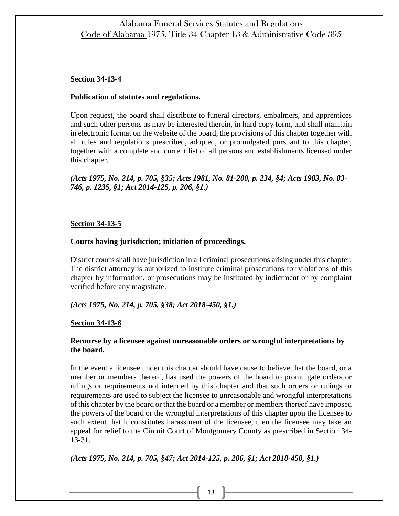## **Section 34-13-4**

### **Publication of statutes and regulations.**

Upon request, the board shall distribute to funeral directors, embalmers, and apprentices and such other persons as may be interested therein, in hard copy form, and shall maintain in electronic format on the website of the board, the provisions of this chapter together with all rules and regulations prescribed, adopted, or promulgated pursuant to this chapter, together with a complete and current list of all persons and establishments licensed under this chapter.

*(Acts 1975, No. 214, p. 705, §35; Acts 1981, No. 81-200, p. 234, §4; Acts 1983, No. 83- 746, p. 1235, §1; Act 2014-125, p. 206, §1.)*

### **Section 34-13-5**

### **Courts having jurisdiction; initiation of proceedings.**

District courts shall have jurisdiction in all criminal prosecutions arising under this chapter. The district attorney is authorized to institute criminal prosecutions for violations of this chapter by information, or prosecutions may be instituted by indictment or by complaint verified before any magistrate.

### *(Acts 1975, No. 214, p. 705, §38; Act 2018-450, §1.)*

### **Section 34-13-6**

## **Recourse by a licensee against unreasonable orders or wrongful interpretations by the board.**

In the event a licensee under this chapter should have cause to believe that the board, or a member or members thereof, has used the powers of the board to promulgate orders or rulings or requirements not intended by this chapter and that such orders or rulings or requirements are used to subject the licensee to unreasonable and wrongful interpretations of this chapter by the board or that the board or a member or members thereof have imposed the powers of the board or the wrongful interpretations of this chapter upon the licensee to such extent that it constitutes harassment of the licensee, then the licensee may take an appeal for relief to the Circuit Court of Montgomery County as prescribed in Section 34- 13-31.

*(Acts 1975, No. 214, p. 705, §47; Act 2014-125, p. 206, §1; Act 2018-450, §1.)*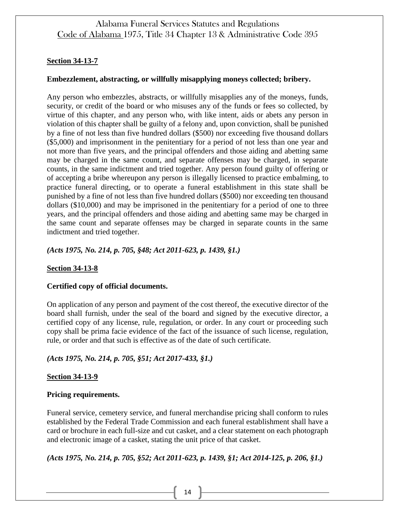## **Section 34-13-7**

### **Embezzlement, abstracting, or willfully misapplying moneys collected; bribery.**

Any person who embezzles, abstracts, or willfully misapplies any of the moneys, funds, security, or credit of the board or who misuses any of the funds or fees so collected, by virtue of this chapter, and any person who, with like intent, aids or abets any person in violation of this chapter shall be guilty of a felony and, upon conviction, shall be punished by a fine of not less than five hundred dollars (\$500) nor exceeding five thousand dollars (\$5,000) and imprisonment in the penitentiary for a period of not less than one year and not more than five years, and the principal offenders and those aiding and abetting same may be charged in the same count, and separate offenses may be charged, in separate counts, in the same indictment and tried together. Any person found guilty of offering or of accepting a bribe whereupon any person is illegally licensed to practice embalming, to practice funeral directing, or to operate a funeral establishment in this state shall be punished by a fine of not less than five hundred dollars (\$500) nor exceeding ten thousand dollars (\$10,000) and may be imprisoned in the penitentiary for a period of one to three years, and the principal offenders and those aiding and abetting same may be charged in the same count and separate offenses may be charged in separate counts in the same indictment and tried together.

*(Acts 1975, No. 214, p. 705, §48; Act 2011-623, p. 1439, §1.)*

## **Section 34-13-8**

### **Certified copy of official documents.**

On application of any person and payment of the cost thereof, the executive director of the board shall furnish, under the seal of the board and signed by the executive director, a certified copy of any license, rule, regulation, or order. In any court or proceeding such copy shall be prima facie evidence of the fact of the issuance of such license, regulation, rule, or order and that such is effective as of the date of such certificate.

## *(Acts 1975, No. 214, p. 705, §51; Act 2017-433, §1.)*

### **Section 34-13-9**

### **Pricing requirements.**

Funeral service, cemetery service, and funeral merchandise pricing shall conform to rules established by the Federal Trade Commission and each funeral establishment shall have a card or brochure in each full-size and cut casket, and a clear statement on each photograph and electronic image of a casket, stating the unit price of that casket.

*(Acts 1975, No. 214, p. 705, §52; Act 2011-623, p. 1439, §1; Act 2014-125, p. 206, §1.)*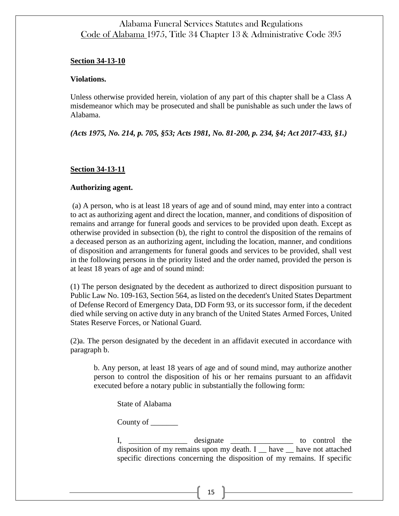#### **Section 34-13-10**

#### **Violations.**

Unless otherwise provided herein, violation of any part of this chapter shall be a Class A misdemeanor which may be prosecuted and shall be punishable as such under the laws of Alabama.

*(Acts 1975, No. 214, p. 705, §53; Acts 1981, No. 81-200, p. 234, §4; Act 2017-433, §1.)*

### **Section 34-13-11**

#### **Authorizing agent.**

(a) A person, who is at least 18 years of age and of sound mind, may enter into a contract to act as authorizing agent and direct the location, manner, and conditions of disposition of remains and arrange for funeral goods and services to be provided upon death. Except as otherwise provided in subsection (b), the right to control the disposition of the remains of a deceased person as an authorizing agent, including the location, manner, and conditions of disposition and arrangements for funeral goods and services to be provided, shall vest in the following persons in the priority listed and the order named, provided the person is at least 18 years of age and of sound mind:

(1) The person designated by the decedent as authorized to direct disposition pursuant to Public Law No. 109-163, Section 564, as listed on the decedent's United States Department of Defense Record of Emergency Data, DD Form 93, or its successor form, if the decedent died while serving on active duty in any branch of the United States Armed Forces, United States Reserve Forces, or National Guard.

(2)a. The person designated by the decedent in an affidavit executed in accordance with paragraph b.

b. Any person, at least 18 years of age and of sound mind, may authorize another person to control the disposition of his or her remains pursuant to an affidavit executed before a notary public in substantially the following form:

State of Alabama

County of  $\_\_\_\_\_\_\_\_\_\_\_\_\_\_$ 

I, \_\_\_\_\_\_\_\_\_\_\_\_\_\_\_\_\_\_ designate \_\_\_\_\_\_\_\_\_\_\_\_\_\_\_\_\_\_\_\_\_\_\_ to control the disposition of my remains upon my death. I \_ have \_ have not attached specific directions concerning the disposition of my remains. If specific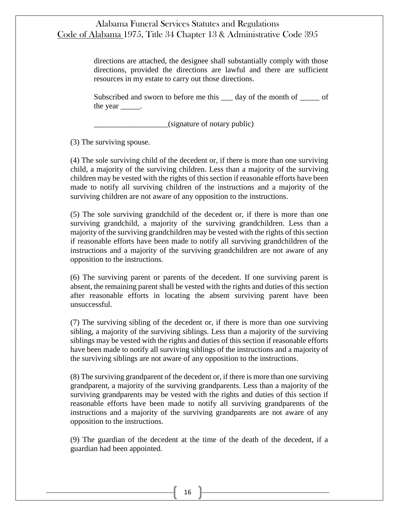directions are attached, the designee shall substantially comply with those directions, provided the directions are lawful and there are sufficient resources in my estate to carry out those directions.

Subscribed and sworn to before me this  $\qquad$  day of the month of  $\qquad$  of the year  $\qquad$ .

\_\_\_\_\_\_\_\_\_\_\_\_\_\_\_\_\_\_\_(signature of notary public)

(3) The surviving spouse.

(4) The sole surviving child of the decedent or, if there is more than one surviving child, a majority of the surviving children. Less than a majority of the surviving children may be vested with the rights of this section if reasonable efforts have been made to notify all surviving children of the instructions and a majority of the surviving children are not aware of any opposition to the instructions.

(5) The sole surviving grandchild of the decedent or, if there is more than one surviving grandchild, a majority of the surviving grandchildren. Less than a majority of the surviving grandchildren may be vested with the rights of this section if reasonable efforts have been made to notify all surviving grandchildren of the instructions and a majority of the surviving grandchildren are not aware of any opposition to the instructions.

(6) The surviving parent or parents of the decedent. If one surviving parent is absent, the remaining parent shall be vested with the rights and duties of this section after reasonable efforts in locating the absent surviving parent have been unsuccessful.

(7) The surviving sibling of the decedent or, if there is more than one surviving sibling, a majority of the surviving siblings. Less than a majority of the surviving siblings may be vested with the rights and duties of this section if reasonable efforts have been made to notify all surviving siblings of the instructions and a majority of the surviving siblings are not aware of any opposition to the instructions.

(8) The surviving grandparent of the decedent or, if there is more than one surviving grandparent, a majority of the surviving grandparents. Less than a majority of the surviving grandparents may be vested with the rights and duties of this section if reasonable efforts have been made to notify all surviving grandparents of the instructions and a majority of the surviving grandparents are not aware of any opposition to the instructions.

(9) The guardian of the decedent at the time of the death of the decedent, if a guardian had been appointed.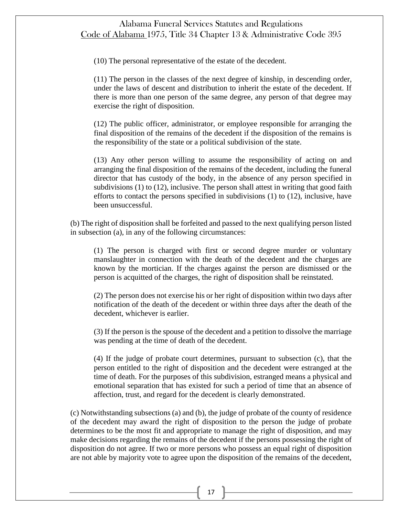(10) The personal representative of the estate of the decedent.

(11) The person in the classes of the next degree of kinship, in descending order, under the laws of descent and distribution to inherit the estate of the decedent. If there is more than one person of the same degree, any person of that degree may exercise the right of disposition.

(12) The public officer, administrator, or employee responsible for arranging the final disposition of the remains of the decedent if the disposition of the remains is the responsibility of the state or a political subdivision of the state.

(13) Any other person willing to assume the responsibility of acting on and arranging the final disposition of the remains of the decedent, including the funeral director that has custody of the body, in the absence of any person specified in subdivisions (1) to (12), inclusive. The person shall attest in writing that good faith efforts to contact the persons specified in subdivisions  $(1)$  to  $(12)$ , inclusive, have been unsuccessful.

(b) The right of disposition shall be forfeited and passed to the next qualifying person listed in subsection (a), in any of the following circumstances:

(1) The person is charged with first or second degree murder or voluntary manslaughter in connection with the death of the decedent and the charges are known by the mortician. If the charges against the person are dismissed or the person is acquitted of the charges, the right of disposition shall be reinstated.

(2) The person does not exercise his or her right of disposition within two days after notification of the death of the decedent or within three days after the death of the decedent, whichever is earlier.

(3) If the person is the spouse of the decedent and a petition to dissolve the marriage was pending at the time of death of the decedent.

(4) If the judge of probate court determines, pursuant to subsection (c), that the person entitled to the right of disposition and the decedent were estranged at the time of death. For the purposes of this subdivision, estranged means a physical and emotional separation that has existed for such a period of time that an absence of affection, trust, and regard for the decedent is clearly demonstrated.

(c) Notwithstanding subsections (a) and (b), the judge of probate of the county of residence of the decedent may award the right of disposition to the person the judge of probate determines to be the most fit and appropriate to manage the right of disposition, and may make decisions regarding the remains of the decedent if the persons possessing the right of disposition do not agree. If two or more persons who possess an equal right of disposition are not able by majority vote to agree upon the disposition of the remains of the decedent,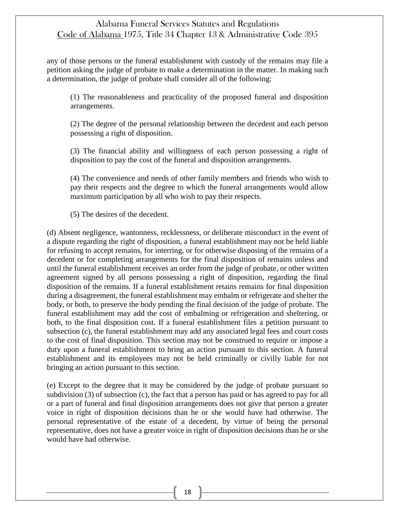any of those persons or the funeral establishment with custody of the remains may file a petition asking the judge of probate to make a determination in the matter. In making such a determination, the judge of probate shall consider all of the following:

(1) The reasonableness and practicality of the proposed funeral and disposition arrangements.

(2) The degree of the personal relationship between the decedent and each person possessing a right of disposition.

(3) The financial ability and willingness of each person possessing a right of disposition to pay the cost of the funeral and disposition arrangements.

(4) The convenience and needs of other family members and friends who wish to pay their respects and the degree to which the funeral arrangements would allow maximum participation by all who wish to pay their respects.

(5) The desires of the decedent.

(d) Absent negligence, wantonness, recklessness, or deliberate misconduct in the event of a dispute regarding the right of disposition, a funeral establishment may not be held liable for refusing to accept remains, for interring, or for otherwise disposing of the remains of a decedent or for completing arrangements for the final disposition of remains unless and until the funeral establishment receives an order from the judge of probate, or other written agreement signed by all persons possessing a right of disposition, regarding the final disposition of the remains. If a funeral establishment retains remains for final disposition during a disagreement, the funeral establishment may embalm or refrigerate and shelter the body, or both, to preserve the body pending the final decision of the judge of probate. The funeral establishment may add the cost of embalming or refrigeration and sheltering, or both, to the final disposition cost. If a funeral establishment files a petition pursuant to subsection (c), the funeral establishment may add any associated legal fees and court costs to the cost of final disposition. This section may not be construed to require or impose a duty upon a funeral establishment to bring an action pursuant to this section. A funeral establishment and its employees may not be held criminally or civilly liable for not bringing an action pursuant to this section.

(e) Except to the degree that it may be considered by the judge of probate pursuant to subdivision (3) of subsection (c), the fact that a person has paid or has agreed to pay for all or a part of funeral and final disposition arrangements does not give that person a greater voice in right of disposition decisions than he or she would have had otherwise. The personal representative of the estate of a decedent, by virtue of being the personal representative, does not have a greater voice in right of disposition decisions than he or she would have had otherwise.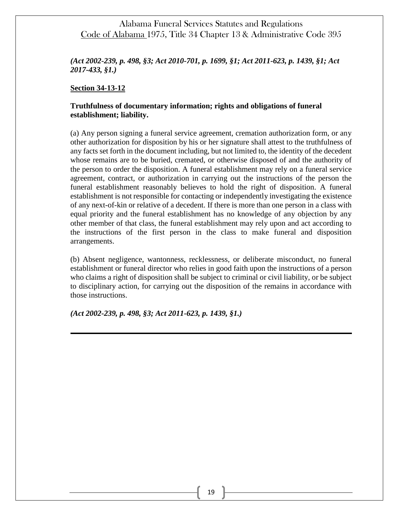*(Act 2002-239, p. 498, §3; Act 2010-701, p. 1699, §1; Act 2011-623, p. 1439, §1; Act 2017-433, §1.)*

#### **Section 34-13-12**

### **Truthfulness of documentary information; rights and obligations of funeral establishment; liability.**

(a) Any person signing a funeral service agreement, cremation authorization form, or any other authorization for disposition by his or her signature shall attest to the truthfulness of any facts set forth in the document including, but not limited to, the identity of the decedent whose remains are to be buried, cremated, or otherwise disposed of and the authority of the person to order the disposition. A funeral establishment may rely on a funeral service agreement, contract, or authorization in carrying out the instructions of the person the funeral establishment reasonably believes to hold the right of disposition. A funeral establishment is not responsible for contacting or independently investigating the existence of any next-of-kin or relative of a decedent. If there is more than one person in a class with equal priority and the funeral establishment has no knowledge of any objection by any other member of that class, the funeral establishment may rely upon and act according to the instructions of the first person in the class to make funeral and disposition arrangements.

(b) Absent negligence, wantonness, recklessness, or deliberate misconduct, no funeral establishment or funeral director who relies in good faith upon the instructions of a person who claims a right of disposition shall be subject to criminal or civil liability, or be subject to disciplinary action, for carrying out the disposition of the remains in accordance with those instructions.

*(Act 2002-239, p. 498, §3; Act 2011-623, p. 1439, §1.)*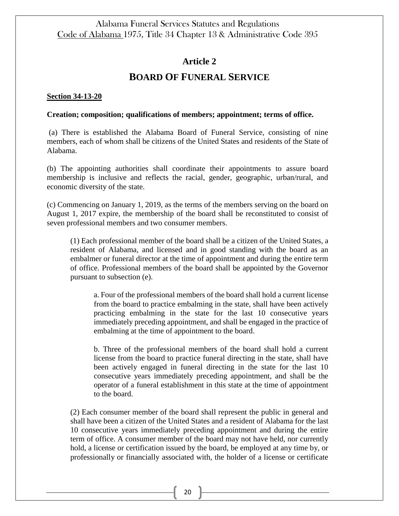## **Article 2**

# **BOARD OF FUNERAL SERVICE**

#### **Section 34-13-20**

### **Creation; composition; qualifications of members; appointment; terms of office.**

(a) There is established the Alabama Board of Funeral Service, consisting of nine members, each of whom shall be citizens of the United States and residents of the State of Alabama.

(b) The appointing authorities shall coordinate their appointments to assure board membership is inclusive and reflects the racial, gender, geographic, urban/rural, and economic diversity of the state.

(c) Commencing on January 1, 2019, as the terms of the members serving on the board on August 1, 2017 expire, the membership of the board shall be reconstituted to consist of seven professional members and two consumer members.

(1) Each professional member of the board shall be a citizen of the United States, a resident of Alabama, and licensed and in good standing with the board as an embalmer or funeral director at the time of appointment and during the entire term of office. Professional members of the board shall be appointed by the Governor pursuant to subsection (e).

a. Four of the professional members of the board shall hold a current license from the board to practice embalming in the state, shall have been actively practicing embalming in the state for the last 10 consecutive years immediately preceding appointment, and shall be engaged in the practice of embalming at the time of appointment to the board.

b. Three of the professional members of the board shall hold a current license from the board to practice funeral directing in the state, shall have been actively engaged in funeral directing in the state for the last 10 consecutive years immediately preceding appointment, and shall be the operator of a funeral establishment in this state at the time of appointment to the board.

(2) Each consumer member of the board shall represent the public in general and shall have been a citizen of the United States and a resident of Alabama for the last 10 consecutive years immediately preceding appointment and during the entire term of office. A consumer member of the board may not have held, nor currently hold, a license or certification issued by the board, be employed at any time by, or professionally or financially associated with, the holder of a license or certificate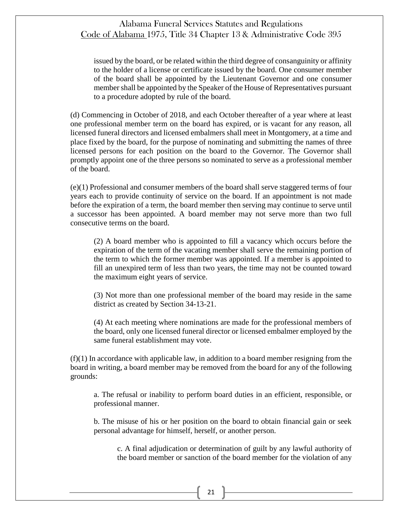issued by the board, or be related within the third degree of consanguinity or affinity to the holder of a license or certificate issued by the board. One consumer member of the board shall be appointed by the Lieutenant Governor and one consumer member shall be appointed by the Speaker of the House of Representatives pursuant to a procedure adopted by rule of the board.

(d) Commencing in October of 2018, and each October thereafter of a year where at least one professional member term on the board has expired, or is vacant for any reason, all licensed funeral directors and licensed embalmers shall meet in Montgomery, at a time and place fixed by the board, for the purpose of nominating and submitting the names of three licensed persons for each position on the board to the Governor. The Governor shall promptly appoint one of the three persons so nominated to serve as a professional member of the board.

(e)(1) Professional and consumer members of the board shall serve staggered terms of four years each to provide continuity of service on the board. If an appointment is not made before the expiration of a term, the board member then serving may continue to serve until a successor has been appointed. A board member may not serve more than two full consecutive terms on the board.

(2) A board member who is appointed to fill a vacancy which occurs before the expiration of the term of the vacating member shall serve the remaining portion of the term to which the former member was appointed. If a member is appointed to fill an unexpired term of less than two years, the time may not be counted toward the maximum eight years of service.

(3) Not more than one professional member of the board may reside in the same district as created by Section 34-13-21.

(4) At each meeting where nominations are made for the professional members of the board, only one licensed funeral director or licensed embalmer employed by the same funeral establishment may vote.

 $(f)(1)$  In accordance with applicable law, in addition to a board member resigning from the board in writing, a board member may be removed from the board for any of the following grounds:

a. The refusal or inability to perform board duties in an efficient, responsible, or professional manner.

b. The misuse of his or her position on the board to obtain financial gain or seek personal advantage for himself, herself, or another person.

c. A final adjudication or determination of guilt by any lawful authority of the board member or sanction of the board member for the violation of any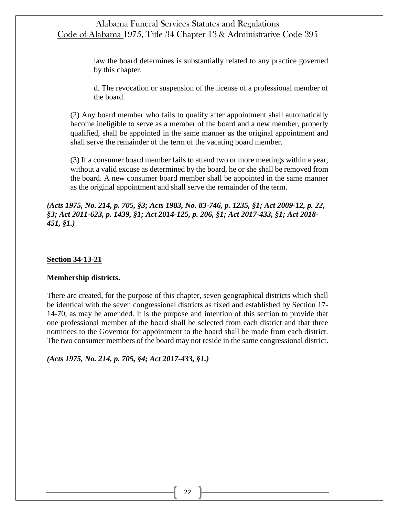> law the board determines is substantially related to any practice governed by this chapter.

> d. The revocation or suspension of the license of a professional member of the board.

(2) Any board member who fails to qualify after appointment shall automatically become ineligible to serve as a member of the board and a new member, properly qualified, shall be appointed in the same manner as the original appointment and shall serve the remainder of the term of the vacating board member.

(3) If a consumer board member fails to attend two or more meetings within a year, without a valid excuse as determined by the board, he or she shall be removed from the board. A new consumer board member shall be appointed in the same manner as the original appointment and shall serve the remainder of the term.

*(Acts 1975, No. 214, p. 705, §3; Acts 1983, No. 83-746, p. 1235, §1; Act 2009-12, p. 22, §3; Act 2011-623, p. 1439, §1; Act 2014-125, p. 206, §1; Act 2017-433, §1; Act 2018- 451, §1.)*

#### **Section 34-13-21**

#### **Membership districts.**

There are created, for the purpose of this chapter, seven geographical districts which shall be identical with the seven congressional districts as fixed and established by Section 17- 14-70, as may be amended. It is the purpose and intention of this section to provide that one professional member of the board shall be selected from each district and that three nominees to the Governor for appointment to the board shall be made from each district. The two consumer members of the board may not reside in the same congressional district.

*(Acts 1975, No. 214, p. 705, §4; Act 2017-433, §1.)*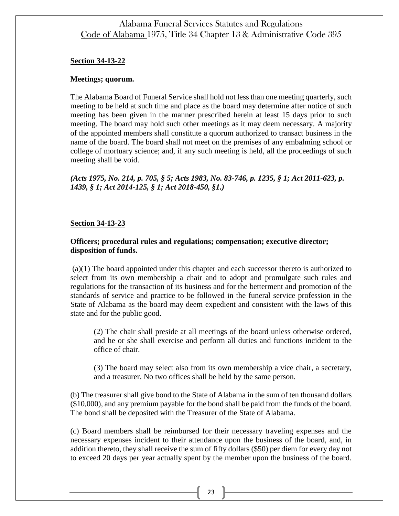#### **Section 34-13-22**

#### **Meetings; quorum.**

The Alabama Board of Funeral Service shall hold not less than one meeting quarterly, such meeting to be held at such time and place as the board may determine after notice of such meeting has been given in the manner prescribed herein at least 15 days prior to such meeting. The board may hold such other meetings as it may deem necessary. A majority of the appointed members shall constitute a quorum authorized to transact business in the name of the board. The board shall not meet on the premises of any embalming school or college of mortuary science; and, if any such meeting is held, all the proceedings of such meeting shall be void.

*(Acts 1975, No. 214, p. 705, § 5; Acts 1983, No. 83-746, p. 1235, § 1; Act 2011-623, p. 1439, § 1; Act 2014-125, § 1; Act 2018-450, §1.)*

#### **Section 34-13-23**

### **Officers; procedural rules and regulations; compensation; executive director; disposition of funds.**

(a)(1) The board appointed under this chapter and each successor thereto is authorized to select from its own membership a chair and to adopt and promulgate such rules and regulations for the transaction of its business and for the betterment and promotion of the standards of service and practice to be followed in the funeral service profession in the State of Alabama as the board may deem expedient and consistent with the laws of this state and for the public good.

(2) The chair shall preside at all meetings of the board unless otherwise ordered, and he or she shall exercise and perform all duties and functions incident to the office of chair.

(3) The board may select also from its own membership a vice chair, a secretary, and a treasurer. No two offices shall be held by the same person.

(b) The treasurer shall give bond to the State of Alabama in the sum of ten thousand dollars (\$10,000), and any premium payable for the bond shall be paid from the funds of the board. The bond shall be deposited with the Treasurer of the State of Alabama.

(c) Board members shall be reimbursed for their necessary traveling expenses and the necessary expenses incident to their attendance upon the business of the board, and, in addition thereto, they shall receive the sum of fifty dollars (\$50) per diem for every day not to exceed 20 days per year actually spent by the member upon the business of the board.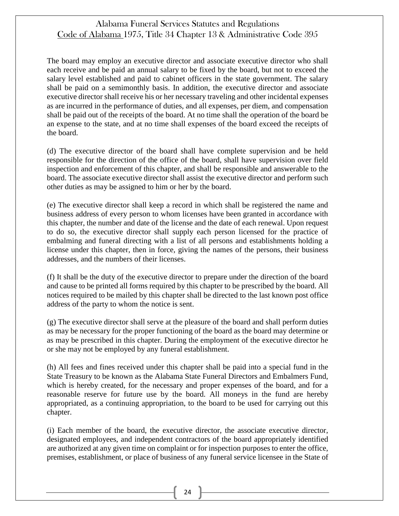The board may employ an executive director and associate executive director who shall each receive and be paid an annual salary to be fixed by the board, but not to exceed the salary level established and paid to cabinet officers in the state government. The salary shall be paid on a semimonthly basis. In addition, the executive director and associate executive director shall receive his or her necessary traveling and other incidental expenses as are incurred in the performance of duties, and all expenses, per diem, and compensation shall be paid out of the receipts of the board. At no time shall the operation of the board be an expense to the state, and at no time shall expenses of the board exceed the receipts of the board.

(d) The executive director of the board shall have complete supervision and be held responsible for the direction of the office of the board, shall have supervision over field inspection and enforcement of this chapter, and shall be responsible and answerable to the board. The associate executive director shall assist the executive director and perform such other duties as may be assigned to him or her by the board.

(e) The executive director shall keep a record in which shall be registered the name and business address of every person to whom licenses have been granted in accordance with this chapter, the number and date of the license and the date of each renewal. Upon request to do so, the executive director shall supply each person licensed for the practice of embalming and funeral directing with a list of all persons and establishments holding a license under this chapter, then in force, giving the names of the persons, their business addresses, and the numbers of their licenses.

(f) It shall be the duty of the executive director to prepare under the direction of the board and cause to be printed all forms required by this chapter to be prescribed by the board. All notices required to be mailed by this chapter shall be directed to the last known post office address of the party to whom the notice is sent.

(g) The executive director shall serve at the pleasure of the board and shall perform duties as may be necessary for the proper functioning of the board as the board may determine or as may be prescribed in this chapter. During the employment of the executive director he or she may not be employed by any funeral establishment.

(h) All fees and fines received under this chapter shall be paid into a special fund in the State Treasury to be known as the Alabama State Funeral Directors and Embalmers Fund, which is hereby created, for the necessary and proper expenses of the board, and for a reasonable reserve for future use by the board. All moneys in the fund are hereby appropriated, as a continuing appropriation, to the board to be used for carrying out this chapter.

(i) Each member of the board, the executive director, the associate executive director, designated employees, and independent contractors of the board appropriately identified are authorized at any given time on complaint or for inspection purposes to enter the office, premises, establishment, or place of business of any funeral service licensee in the State of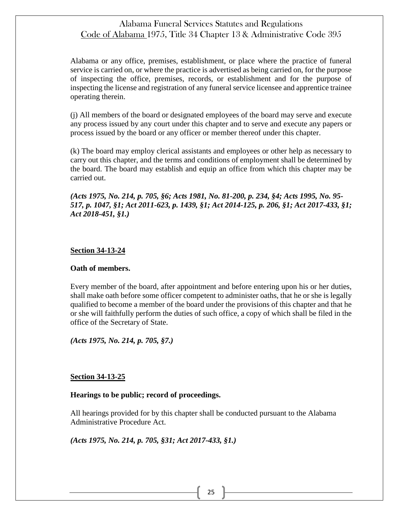Alabama or any office, premises, establishment, or place where the practice of funeral service is carried on, or where the practice is advertised as being carried on, for the purpose of inspecting the office, premises, records, or establishment and for the purpose of inspecting the license and registration of any funeral service licensee and apprentice trainee operating therein.

(j) All members of the board or designated employees of the board may serve and execute any process issued by any court under this chapter and to serve and execute any papers or process issued by the board or any officer or member thereof under this chapter.

(k) The board may employ clerical assistants and employees or other help as necessary to carry out this chapter, and the terms and conditions of employment shall be determined by the board. The board may establish and equip an office from which this chapter may be carried out.

*(Acts 1975, No. 214, p. 705, §6; Acts 1981, No. 81-200, p. 234, §4; Acts 1995, No. 95- 517, p. 1047, §1; Act 2011-623, p. 1439, §1; Act 2014-125, p. 206, §1; Act 2017-433, §1; Act 2018-451, §1.)*

### **Section 34-13-24**

### **Oath of members.**

Every member of the board, after appointment and before entering upon his or her duties, shall make oath before some officer competent to administer oaths, that he or she is legally qualified to become a member of the board under the provisions of this chapter and that he or she will faithfully perform the duties of such office, a copy of which shall be filed in the office of the Secretary of State.

*(Acts 1975, No. 214, p. 705, §7.)*

### **Section 34-13-25**

#### **Hearings to be public; record of proceedings.**

All hearings provided for by this chapter shall be conducted pursuant to the Alabama Administrative Procedure Act.

*(Acts 1975, No. 214, p. 705, §31; Act 2017-433, §1.)*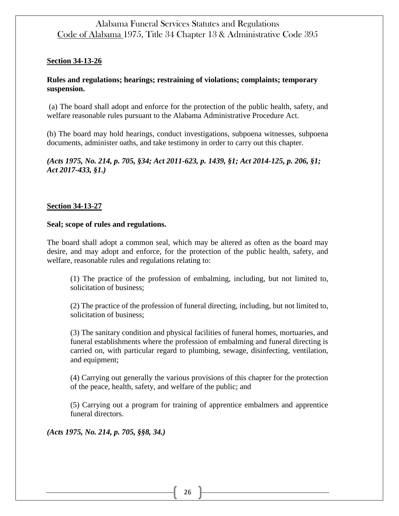### **Section 34-13-26**

## **Rules and regulations; hearings; restraining of violations; complaints; temporary suspension.**

(a) The board shall adopt and enforce for the protection of the public health, safety, and welfare reasonable rules pursuant to the Alabama Administrative Procedure Act.

(b) The board may hold hearings, conduct investigations, subpoena witnesses, subpoena documents, administer oaths, and take testimony in order to carry out this chapter.

*(Acts 1975, No. 214, p. 705, §34; Act 2011-623, p. 1439, §1; Act 2014-125, p. 206, §1; Act 2017-433, §1.)*

## **Section 34-13-27**

### **Seal; scope of rules and regulations.**

The board shall adopt a common seal, which may be altered as often as the board may desire, and may adopt and enforce, for the protection of the public health, safety, and welfare, reasonable rules and regulations relating to:

(1) The practice of the profession of embalming, including, but not limited to, solicitation of business;

(2) The practice of the profession of funeral directing, including, but not limited to, solicitation of business;

(3) The sanitary condition and physical facilities of funeral homes, mortuaries, and funeral establishments where the profession of embalming and funeral directing is carried on, with particular regard to plumbing, sewage, disinfecting, ventilation, and equipment;

(4) Carrying out generally the various provisions of this chapter for the protection of the peace, health, safety, and welfare of the public; and

(5) Carrying out a program for training of apprentice embalmers and apprentice funeral directors.

*(Acts 1975, No. 214, p. 705, §§8, 34.)*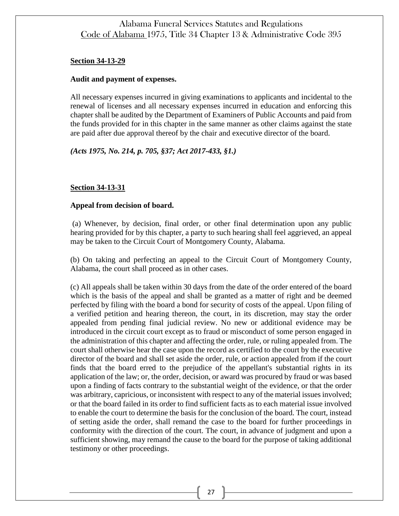#### **Section 34-13-29**

#### **Audit and payment of expenses.**

All necessary expenses incurred in giving examinations to applicants and incidental to the renewal of licenses and all necessary expenses incurred in education and enforcing this chapter shall be audited by the Department of Examiners of Public Accounts and paid from the funds provided for in this chapter in the same manner as other claims against the state are paid after due approval thereof by the chair and executive director of the board.

### *(Acts 1975, No. 214, p. 705, §37; Act 2017-433, §1.)*

### **Section 34-13-31**

#### **Appeal from decision of board.**

(a) Whenever, by decision, final order, or other final determination upon any public hearing provided for by this chapter, a party to such hearing shall feel aggrieved, an appeal may be taken to the Circuit Court of Montgomery County, Alabama.

(b) On taking and perfecting an appeal to the Circuit Court of Montgomery County, Alabama, the court shall proceed as in other cases.

(c) All appeals shall be taken within 30 days from the date of the order entered of the board which is the basis of the appeal and shall be granted as a matter of right and be deemed perfected by filing with the board a bond for security of costs of the appeal. Upon filing of a verified petition and hearing thereon, the court, in its discretion, may stay the order appealed from pending final judicial review. No new or additional evidence may be introduced in the circuit court except as to fraud or misconduct of some person engaged in the administration of this chapter and affecting the order, rule, or ruling appealed from. The court shall otherwise hear the case upon the record as certified to the court by the executive director of the board and shall set aside the order, rule, or action appealed from if the court finds that the board erred to the prejudice of the appellant's substantial rights in its application of the law; or, the order, decision, or award was procured by fraud or was based upon a finding of facts contrary to the substantial weight of the evidence, or that the order was arbitrary, capricious, or inconsistent with respect to any of the material issues involved; or that the board failed in its order to find sufficient facts as to each material issue involved to enable the court to determine the basis for the conclusion of the board. The court, instead of setting aside the order, shall remand the case to the board for further proceedings in conformity with the direction of the court. The court, in advance of judgment and upon a sufficient showing, may remand the cause to the board for the purpose of taking additional testimony or other proceedings.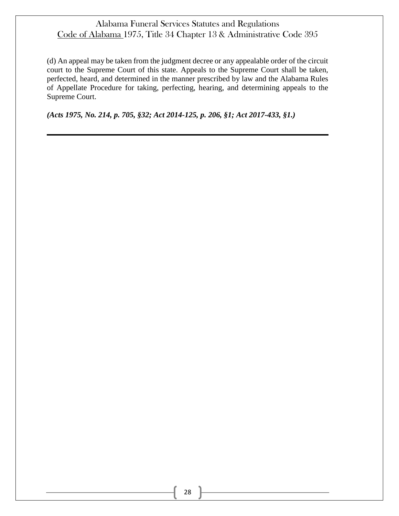(d) An appeal may be taken from the judgment decree or any appealable order of the circuit court to the Supreme Court of this state. Appeals to the Supreme Court shall be taken, perfected, heard, and determined in the manner prescribed by law and the Alabama Rules of Appellate Procedure for taking, perfecting, hearing, and determining appeals to the Supreme Court.

*(Acts 1975, No. 214, p. 705, §32; Act 2014-125, p. 206, §1; Act 2017-433, §1.)*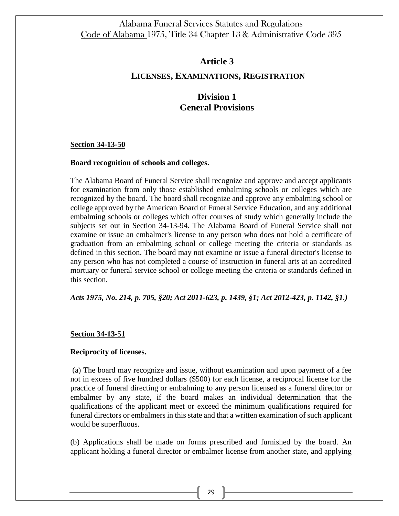## **Article 3**

## **LICENSES, EXAMINATIONS, REGISTRATION**

# **Division 1 General Provisions**

#### **Section 34-13-50**

#### **Board recognition of schools and colleges.**

The Alabama Board of Funeral Service shall recognize and approve and accept applicants for examination from only those established embalming schools or colleges which are recognized by the board. The board shall recognize and approve any embalming school or college approved by the American Board of Funeral Service Education, and any additional embalming schools or colleges which offer courses of study which generally include the subjects set out in Section 34-13-94. The Alabama Board of Funeral Service shall not examine or issue an embalmer's license to any person who does not hold a certificate of graduation from an embalming school or college meeting the criteria or standards as defined in this section. The board may not examine or issue a funeral director's license to any person who has not completed a course of instruction in funeral arts at an accredited mortuary or funeral service school or college meeting the criteria or standards defined in this section.

*Acts 1975, No. 214, p. 705, §20; Act 2011-623, p. 1439, §1; Act 2012-423, p. 1142, §1.)*

### **Section 34-13-51**

### **Reciprocity of licenses.**

(a) The board may recognize and issue, without examination and upon payment of a fee not in excess of five hundred dollars (\$500) for each license, a reciprocal license for the practice of funeral directing or embalming to any person licensed as a funeral director or embalmer by any state, if the board makes an individual determination that the qualifications of the applicant meet or exceed the minimum qualifications required for funeral directors or embalmers in this state and that a written examination of such applicant would be superfluous.

(b) Applications shall be made on forms prescribed and furnished by the board. An applicant holding a funeral director or embalmer license from another state, and applying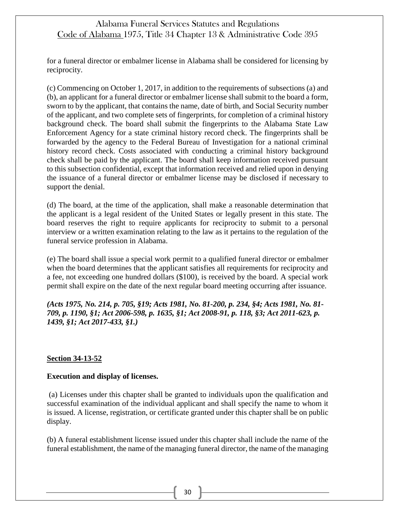for a funeral director or embalmer license in Alabama shall be considered for licensing by reciprocity.

(c) Commencing on October 1, 2017, in addition to the requirements of subsections (a) and (b), an applicant for a funeral director or embalmer license shall submit to the board a form, sworn to by the applicant, that contains the name, date of birth, and Social Security number of the applicant, and two complete sets of fingerprints, for completion of a criminal history background check. The board shall submit the fingerprints to the Alabama State Law Enforcement Agency for a state criminal history record check. The fingerprints shall be forwarded by the agency to the Federal Bureau of Investigation for a national criminal history record check. Costs associated with conducting a criminal history background check shall be paid by the applicant. The board shall keep information received pursuant to this subsection confidential, except that information received and relied upon in denying the issuance of a funeral director or embalmer license may be disclosed if necessary to support the denial.

(d) The board, at the time of the application, shall make a reasonable determination that the applicant is a legal resident of the United States or legally present in this state. The board reserves the right to require applicants for reciprocity to submit to a personal interview or a written examination relating to the law as it pertains to the regulation of the funeral service profession in Alabama.

(e) The board shall issue a special work permit to a qualified funeral director or embalmer when the board determines that the applicant satisfies all requirements for reciprocity and a fee, not exceeding one hundred dollars (\$100), is received by the board. A special work permit shall expire on the date of the next regular board meeting occurring after issuance.

*(Acts 1975, No. 214, p. 705, §19; Acts 1981, No. 81-200, p. 234, §4; Acts 1981, No. 81- 709, p. 1190, §1; Act 2006-598, p. 1635, §1; Act 2008-91, p. 118, §3; Act 2011-623, p. 1439, §1; Act 2017-433, §1.)*

### **Section 34-13-52**

### **Execution and display of licenses.**

(a) Licenses under this chapter shall be granted to individuals upon the qualification and successful examination of the individual applicant and shall specify the name to whom it is issued. A license, registration, or certificate granted under this chapter shall be on public display.

(b) A funeral establishment license issued under this chapter shall include the name of the funeral establishment, the name of the managing funeral director, the name of the managing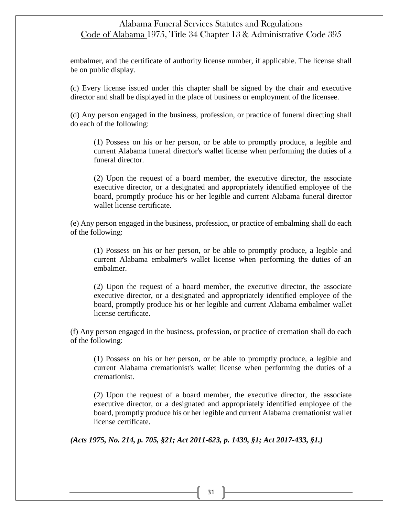embalmer, and the certificate of authority license number, if applicable. The license shall be on public display.

(c) Every license issued under this chapter shall be signed by the chair and executive director and shall be displayed in the place of business or employment of the licensee.

(d) Any person engaged in the business, profession, or practice of funeral directing shall do each of the following:

(1) Possess on his or her person, or be able to promptly produce, a legible and current Alabama funeral director's wallet license when performing the duties of a funeral director.

(2) Upon the request of a board member, the executive director, the associate executive director, or a designated and appropriately identified employee of the board, promptly produce his or her legible and current Alabama funeral director wallet license certificate.

(e) Any person engaged in the business, profession, or practice of embalming shall do each of the following:

(1) Possess on his or her person, or be able to promptly produce, a legible and current Alabama embalmer's wallet license when performing the duties of an embalmer.

(2) Upon the request of a board member, the executive director, the associate executive director, or a designated and appropriately identified employee of the board, promptly produce his or her legible and current Alabama embalmer wallet license certificate.

(f) Any person engaged in the business, profession, or practice of cremation shall do each of the following:

(1) Possess on his or her person, or be able to promptly produce, a legible and current Alabama cremationist's wallet license when performing the duties of a cremationist.

(2) Upon the request of a board member, the executive director, the associate executive director, or a designated and appropriately identified employee of the board, promptly produce his or her legible and current Alabama cremationist wallet license certificate.

*(Acts 1975, No. 214, p. 705, §21; Act 2011-623, p. 1439, §1; Act 2017-433, §1.)*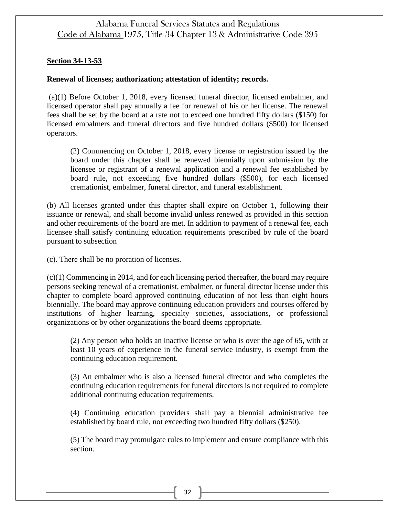### **Section 34-13-53**

## **Renewal of licenses; authorization; attestation of identity; records.**

(a)(1) Before October 1, 2018, every licensed funeral director, licensed embalmer, and licensed operator shall pay annually a fee for renewal of his or her license. The renewal fees shall be set by the board at a rate not to exceed one hundred fifty dollars (\$150) for licensed embalmers and funeral directors and five hundred dollars (\$500) for licensed operators.

(2) Commencing on October 1, 2018, every license or registration issued by the board under this chapter shall be renewed biennially upon submission by the licensee or registrant of a renewal application and a renewal fee established by board rule, not exceeding five hundred dollars (\$500), for each licensed cremationist, embalmer, funeral director, and funeral establishment.

(b) All licenses granted under this chapter shall expire on October 1, following their issuance or renewal, and shall become invalid unless renewed as provided in this section and other requirements of the board are met. In addition to payment of a renewal fee, each licensee shall satisfy continuing education requirements prescribed by rule of the board pursuant to subsection

(c). There shall be no proration of licenses.

(c)(1) Commencing in 2014, and for each licensing period thereafter, the board may require persons seeking renewal of a cremationist, embalmer, or funeral director license under this chapter to complete board approved continuing education of not less than eight hours biennially. The board may approve continuing education providers and courses offered by institutions of higher learning, specialty societies, associations, or professional organizations or by other organizations the board deems appropriate.

(2) Any person who holds an inactive license or who is over the age of 65, with at least 10 years of experience in the funeral service industry, is exempt from the continuing education requirement.

(3) An embalmer who is also a licensed funeral director and who completes the continuing education requirements for funeral directors is not required to complete additional continuing education requirements.

(4) Continuing education providers shall pay a biennial administrative fee established by board rule, not exceeding two hundred fifty dollars (\$250).

(5) The board may promulgate rules to implement and ensure compliance with this section.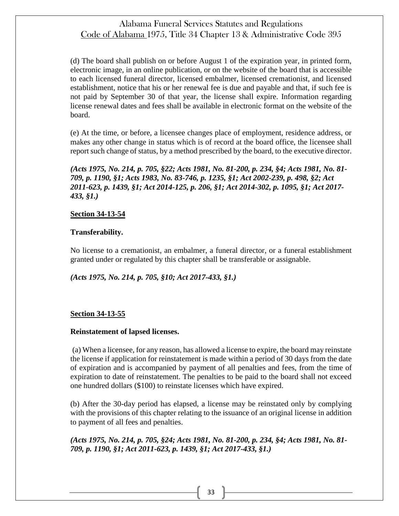(d) The board shall publish on or before August 1 of the expiration year, in printed form, electronic image, in an online publication, or on the website of the board that is accessible to each licensed funeral director, licensed embalmer, licensed cremationist, and licensed establishment, notice that his or her renewal fee is due and payable and that, if such fee is not paid by September 30 of that year, the license shall expire. Information regarding license renewal dates and fees shall be available in electronic format on the website of the board.

(e) At the time, or before, a licensee changes place of employment, residence address, or makes any other change in status which is of record at the board office, the licensee shall report such change of status, by a method prescribed by the board, to the executive director.

*(Acts 1975, No. 214, p. 705, §22; Acts 1981, No. 81-200, p. 234, §4; Acts 1981, No. 81- 709, p. 1190, §1; Acts 1983, No. 83-746, p. 1235, §1; Act 2002-239, p. 498, §2; Act 2011-623, p. 1439, §1; Act 2014-125, p. 206, §1; Act 2014-302, p. 1095, §1; Act 2017- 433, §1.)*

### **Section 34-13-54**

#### **Transferability.**

No license to a cremationist, an embalmer, a funeral director, or a funeral establishment granted under or regulated by this chapter shall be transferable or assignable.

*(Acts 1975, No. 214, p. 705, §10; Act 2017-433, §1.)*

### **Section 34-13-55**

#### **Reinstatement of lapsed licenses.**

(a) When a licensee, for any reason, has allowed a license to expire, the board may reinstate the license if application for reinstatement is made within a period of 30 days from the date of expiration and is accompanied by payment of all penalties and fees, from the time of expiration to date of reinstatement. The penalties to be paid to the board shall not exceed one hundred dollars (\$100) to reinstate licenses which have expired.

(b) After the 30-day period has elapsed, a license may be reinstated only by complying with the provisions of this chapter relating to the issuance of an original license in addition to payment of all fees and penalties.

*(Acts 1975, No. 214, p. 705, §24; Acts 1981, No. 81-200, p. 234, §4; Acts 1981, No. 81- 709, p. 1190, §1; Act 2011-623, p. 1439, §1; Act 2017-433, §1.)*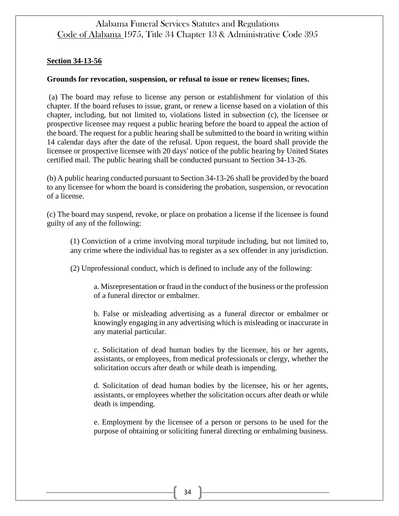### **Section 34-13-56**

### **Grounds for revocation, suspension, or refusal to issue or renew licenses; fines.**

(a) The board may refuse to license any person or establishment for violation of this chapter. If the board refuses to issue, grant, or renew a license based on a violation of this chapter, including, but not limited to, violations listed in subsection (c), the licensee or prospective licensee may request a public hearing before the board to appeal the action of the board. The request for a public hearing shall be submitted to the board in writing within 14 calendar days after the date of the refusal. Upon request, the board shall provide the licensee or prospective licensee with 20 days' notice of the public hearing by United States certified mail. The public hearing shall be conducted pursuant to Section 34-13-26.

(b) A public hearing conducted pursuant to Section 34-13-26 shall be provided by the board to any licensee for whom the board is considering the probation, suspension, or revocation of a license.

(c) The board may suspend, revoke, or place on probation a license if the licensee is found guilty of any of the following:

(1) Conviction of a crime involving moral turpitude including, but not limited to, any crime where the individual has to register as a sex offender in any jurisdiction.

(2) Unprofessional conduct, which is defined to include any of the following:

a. Misrepresentation or fraud in the conduct of the business or the profession of a funeral director or embalmer.

b. False or misleading advertising as a funeral director or embalmer or knowingly engaging in any advertising which is misleading or inaccurate in any material particular.

c. Solicitation of dead human bodies by the licensee, his or her agents, assistants, or employees, from medical professionals or clergy, whether the solicitation occurs after death or while death is impending.

d. Solicitation of dead human bodies by the licensee, his or her agents, assistants, or employees whether the solicitation occurs after death or while death is impending.

e. Employment by the licensee of a person or persons to be used for the purpose of obtaining or soliciting funeral directing or embalming business.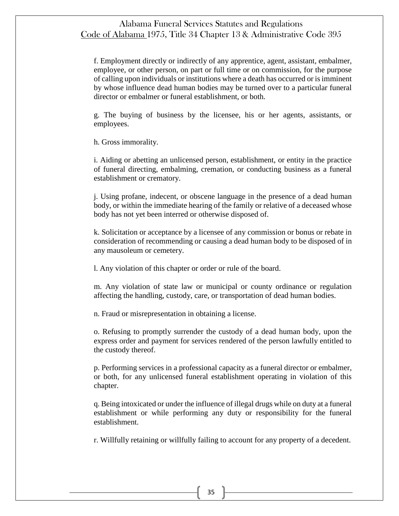f. Employment directly or indirectly of any apprentice, agent, assistant, embalmer, employee, or other person, on part or full time or on commission, for the purpose of calling upon individuals or institutions where a death has occurred or is imminent by whose influence dead human bodies may be turned over to a particular funeral director or embalmer or funeral establishment, or both.

g. The buying of business by the licensee, his or her agents, assistants, or employees.

h. Gross immorality.

i. Aiding or abetting an unlicensed person, establishment, or entity in the practice of funeral directing, embalming, cremation, or conducting business as a funeral establishment or crematory.

j. Using profane, indecent, or obscene language in the presence of a dead human body, or within the immediate hearing of the family or relative of a deceased whose body has not yet been interred or otherwise disposed of.

k. Solicitation or acceptance by a licensee of any commission or bonus or rebate in consideration of recommending or causing a dead human body to be disposed of in any mausoleum or cemetery.

l. Any violation of this chapter or order or rule of the board.

m. Any violation of state law or municipal or county ordinance or regulation affecting the handling, custody, care, or transportation of dead human bodies.

n. Fraud or misrepresentation in obtaining a license.

o. Refusing to promptly surrender the custody of a dead human body, upon the express order and payment for services rendered of the person lawfully entitled to the custody thereof.

p. Performing services in a professional capacity as a funeral director or embalmer, or both, for any unlicensed funeral establishment operating in violation of this chapter.

q. Being intoxicated or under the influence of illegal drugs while on duty at a funeral establishment or while performing any duty or responsibility for the funeral establishment.

r. Willfully retaining or willfully failing to account for any property of a decedent.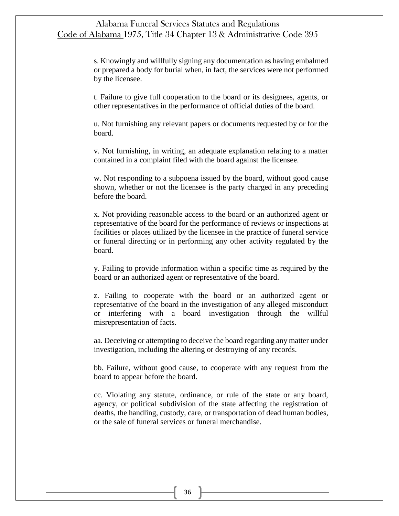s. Knowingly and willfully signing any documentation as having embalmed or prepared a body for burial when, in fact, the services were not performed by the licensee.

t. Failure to give full cooperation to the board or its designees, agents, or other representatives in the performance of official duties of the board.

u. Not furnishing any relevant papers or documents requested by or for the board.

v. Not furnishing, in writing, an adequate explanation relating to a matter contained in a complaint filed with the board against the licensee.

w. Not responding to a subpoena issued by the board, without good cause shown, whether or not the licensee is the party charged in any preceding before the board.

x. Not providing reasonable access to the board or an authorized agent or representative of the board for the performance of reviews or inspections at facilities or places utilized by the licensee in the practice of funeral service or funeral directing or in performing any other activity regulated by the board.

y. Failing to provide information within a specific time as required by the board or an authorized agent or representative of the board.

z. Failing to cooperate with the board or an authorized agent or representative of the board in the investigation of any alleged misconduct or interfering with a board investigation through the willful misrepresentation of facts.

aa. Deceiving or attempting to deceive the board regarding any matter under investigation, including the altering or destroying of any records.

bb. Failure, without good cause, to cooperate with any request from the board to appear before the board.

cc. Violating any statute, ordinance, or rule of the state or any board, agency, or political subdivision of the state affecting the registration of deaths, the handling, custody, care, or transportation of dead human bodies, or the sale of funeral services or funeral merchandise.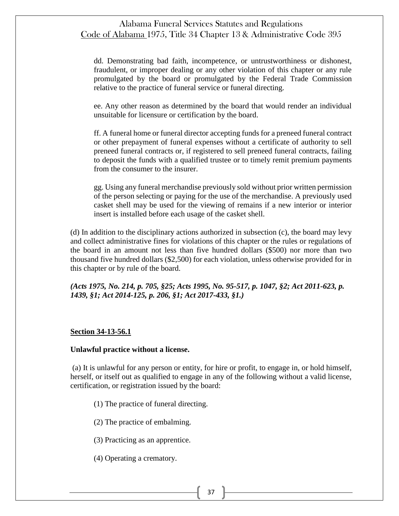dd. Demonstrating bad faith, incompetence, or untrustworthiness or dishonest, fraudulent, or improper dealing or any other violation of this chapter or any rule promulgated by the board or promulgated by the Federal Trade Commission relative to the practice of funeral service or funeral directing.

ee. Any other reason as determined by the board that would render an individual unsuitable for licensure or certification by the board.

ff. A funeral home or funeral director accepting funds for a preneed funeral contract or other prepayment of funeral expenses without a certificate of authority to sell preneed funeral contracts or, if registered to sell preneed funeral contracts, failing to deposit the funds with a qualified trustee or to timely remit premium payments from the consumer to the insurer.

gg. Using any funeral merchandise previously sold without prior written permission of the person selecting or paying for the use of the merchandise. A previously used casket shell may be used for the viewing of remains if a new interior or interior insert is installed before each usage of the casket shell.

(d) In addition to the disciplinary actions authorized in subsection (c), the board may levy and collect administrative fines for violations of this chapter or the rules or regulations of the board in an amount not less than five hundred dollars (\$500) nor more than two thousand five hundred dollars (\$2,500) for each violation, unless otherwise provided for in this chapter or by rule of the board.

*(Acts 1975, No. 214, p. 705, §25; Acts 1995, No. 95-517, p. 1047, §2; Act 2011-623, p. 1439, §1; Act 2014-125, p. 206, §1; Act 2017-433, §1.)*

### **Section 34-13-56.1**

#### **Unlawful practice without a license.**

(a) It is unlawful for any person or entity, for hire or profit, to engage in, or hold himself, herself, or itself out as qualified to engage in any of the following without a valid license, certification, or registration issued by the board:

- (1) The practice of funeral directing.
- (2) The practice of embalming.
- (3) Practicing as an apprentice.
- (4) Operating a crematory.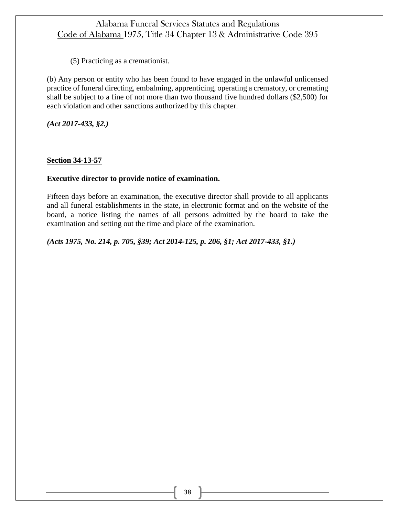(5) Practicing as a cremationist.

(b) Any person or entity who has been found to have engaged in the unlawful unlicensed practice of funeral directing, embalming, apprenticing, operating a crematory, or cremating shall be subject to a fine of not more than two thousand five hundred dollars (\$2,500) for each violation and other sanctions authorized by this chapter.

*(Act 2017-433, §2.)*

## **Section 34-13-57**

### **Executive director to provide notice of examination.**

Fifteen days before an examination, the executive director shall provide to all applicants and all funeral establishments in the state, in electronic format and on the website of the board, a notice listing the names of all persons admitted by the board to take the examination and setting out the time and place of the examination.

*(Acts 1975, No. 214, p. 705, §39; Act 2014-125, p. 206, §1; Act 2017-433, §1.)*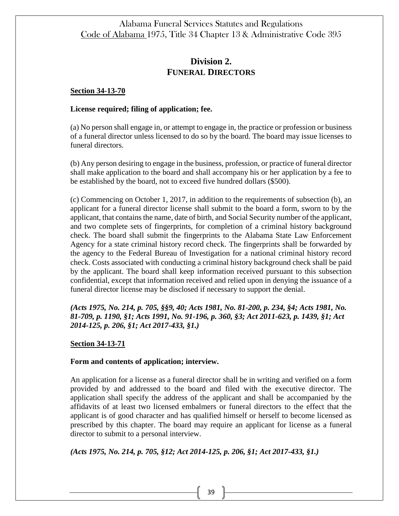# **Division 2. FUNERAL DIRECTORS**

#### **Section 34-13-70**

#### **License required; filing of application; fee.**

(a) No person shall engage in, or attempt to engage in, the practice or profession or business of a funeral director unless licensed to do so by the board. The board may issue licenses to funeral directors.

(b) Any person desiring to engage in the business, profession, or practice of funeral director shall make application to the board and shall accompany his or her application by a fee to be established by the board, not to exceed five hundred dollars (\$500).

(c) Commencing on October 1, 2017, in addition to the requirements of subsection (b), an applicant for a funeral director license shall submit to the board a form, sworn to by the applicant, that contains the name, date of birth, and Social Security number of the applicant, and two complete sets of fingerprints, for completion of a criminal history background check. The board shall submit the fingerprints to the Alabama State Law Enforcement Agency for a state criminal history record check. The fingerprints shall be forwarded by the agency to the Federal Bureau of Investigation for a national criminal history record check. Costs associated with conducting a criminal history background check shall be paid by the applicant. The board shall keep information received pursuant to this subsection confidential, except that information received and relied upon in denying the issuance of a funeral director license may be disclosed if necessary to support the denial.

*(Acts 1975, No. 214, p. 705, §§9, 40; Acts 1981, No. 81-200, p. 234, §4; Acts 1981, No. 81-709, p. 1190, §1; Acts 1991, No. 91-196, p. 360, §3; Act 2011-623, p. 1439, §1; Act 2014-125, p. 206, §1; Act 2017-433, §1.)*

### **Section 34-13-71**

#### **Form and contents of application; interview.**

An application for a license as a funeral director shall be in writing and verified on a form provided by and addressed to the board and filed with the executive director. The application shall specify the address of the applicant and shall be accompanied by the affidavits of at least two licensed embalmers or funeral directors to the effect that the applicant is of good character and has qualified himself or herself to become licensed as prescribed by this chapter. The board may require an applicant for license as a funeral director to submit to a personal interview.

*(Acts 1975, No. 214, p. 705, §12; Act 2014-125, p. 206, §1; Act 2017-433, §1.)*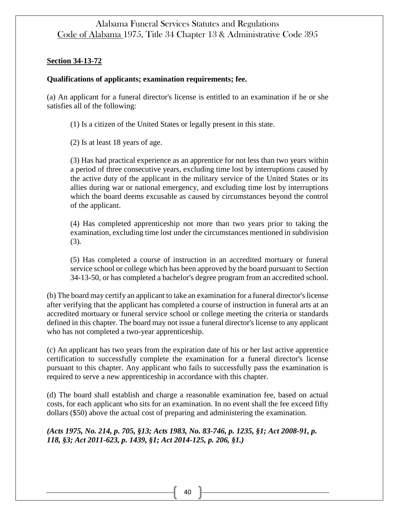## **Section 34-13-72**

## **Qualifications of applicants; examination requirements; fee.**

(a) An applicant for a funeral director's license is entitled to an examination if he or she satisfies all of the following:

(1) Is a citizen of the United States or legally present in this state.

(2) Is at least 18 years of age.

(3) Has had practical experience as an apprentice for not less than two years within a period of three consecutive years, excluding time lost by interruptions caused by the active duty of the applicant in the military service of the United States or its allies during war or national emergency, and excluding time lost by interruptions which the board deems excusable as caused by circumstances beyond the control of the applicant.

(4) Has completed apprenticeship not more than two years prior to taking the examination, excluding time lost under the circumstances mentioned in subdivision (3).

(5) Has completed a course of instruction in an accredited mortuary or funeral service school or college which has been approved by the board pursuant to Section 34-13-50, or has completed a bachelor's degree program from an accredited school.

(b) The board may certify an applicant to take an examination for a funeral director's license after verifying that the applicant has completed a course of instruction in funeral arts at an accredited mortuary or funeral service school or college meeting the criteria or standards defined in this chapter. The board may not issue a funeral director's license to any applicant who has not completed a two-year apprenticeship.

(c) An applicant has two years from the expiration date of his or her last active apprentice certification to successfully complete the examination for a funeral director's license pursuant to this chapter. Any applicant who fails to successfully pass the examination is required to serve a new apprenticeship in accordance with this chapter.

(d) The board shall establish and charge a reasonable examination fee, based on actual costs, for each applicant who sits for an examination. In no event shall the fee exceed fifty dollars (\$50) above the actual cost of preparing and administering the examination.

*(Acts 1975, No. 214, p. 705, §13; Acts 1983, No. 83-746, p. 1235, §1; Act 2008-91, p. 118, §3; Act 2011-623, p. 1439, §1; Act 2014-125, p. 206, §1.)*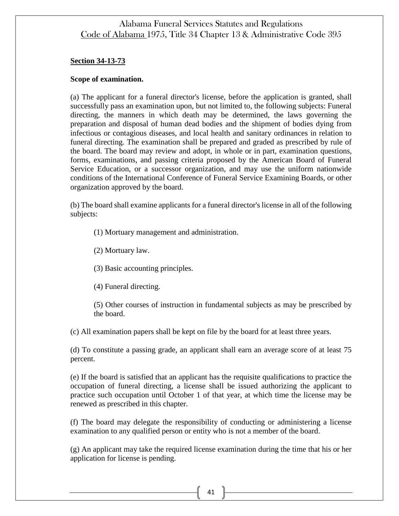#### **Section 34-13-73**

#### **Scope of examination.**

(a) The applicant for a funeral director's license, before the application is granted, shall successfully pass an examination upon, but not limited to, the following subjects: Funeral directing, the manners in which death may be determined, the laws governing the preparation and disposal of human dead bodies and the shipment of bodies dying from infectious or contagious diseases, and local health and sanitary ordinances in relation to funeral directing. The examination shall be prepared and graded as prescribed by rule of the board. The board may review and adopt, in whole or in part, examination questions, forms, examinations, and passing criteria proposed by the American Board of Funeral Service Education, or a successor organization, and may use the uniform nationwide conditions of the International Conference of Funeral Service Examining Boards, or other organization approved by the board.

(b) The board shall examine applicants for a funeral director's license in all of the following subjects:

(1) Mortuary management and administration.

(2) Mortuary law.

(3) Basic accounting principles.

(4) Funeral directing.

(5) Other courses of instruction in fundamental subjects as may be prescribed by the board.

(c) All examination papers shall be kept on file by the board for at least three years.

(d) To constitute a passing grade, an applicant shall earn an average score of at least 75 percent.

(e) If the board is satisfied that an applicant has the requisite qualifications to practice the occupation of funeral directing, a license shall be issued authorizing the applicant to practice such occupation until October 1 of that year, at which time the license may be renewed as prescribed in this chapter.

(f) The board may delegate the responsibility of conducting or administering a license examination to any qualified person or entity who is not a member of the board.

(g) An applicant may take the required license examination during the time that his or her application for license is pending.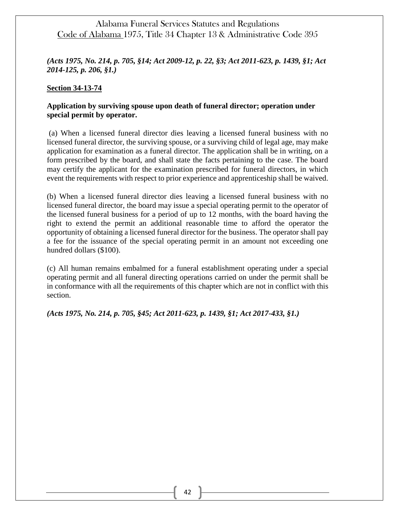*(Acts 1975, No. 214, p. 705, §14; Act 2009-12, p. 22, §3; Act 2011-623, p. 1439, §1; Act 2014-125, p. 206, §1.)*

#### **Section 34-13-74**

## **Application by surviving spouse upon death of funeral director; operation under special permit by operator.**

(a) When a licensed funeral director dies leaving a licensed funeral business with no licensed funeral director, the surviving spouse, or a surviving child of legal age, may make application for examination as a funeral director. The application shall be in writing, on a form prescribed by the board, and shall state the facts pertaining to the case. The board may certify the applicant for the examination prescribed for funeral directors, in which event the requirements with respect to prior experience and apprenticeship shall be waived.

(b) When a licensed funeral director dies leaving a licensed funeral business with no licensed funeral director, the board may issue a special operating permit to the operator of the licensed funeral business for a period of up to 12 months, with the board having the right to extend the permit an additional reasonable time to afford the operator the opportunity of obtaining a licensed funeral director for the business. The operator shall pay a fee for the issuance of the special operating permit in an amount not exceeding one hundred dollars (\$100).

(c) All human remains embalmed for a funeral establishment operating under a special operating permit and all funeral directing operations carried on under the permit shall be in conformance with all the requirements of this chapter which are not in conflict with this section.

*(Acts 1975, No. 214, p. 705, §45; Act 2011-623, p. 1439, §1; Act 2017-433, §1.)*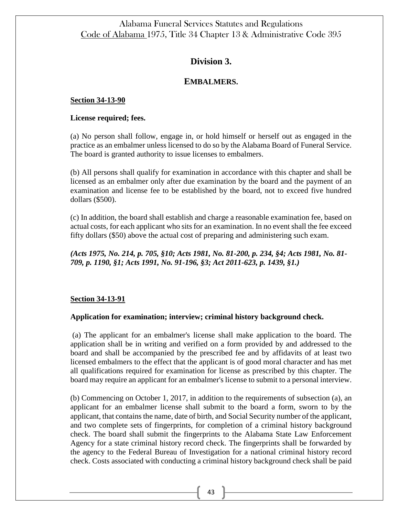# **Division 3.**

## **EMBALMERS.**

### **Section 34-13-90**

### **License required; fees.**

(a) No person shall follow, engage in, or hold himself or herself out as engaged in the practice as an embalmer unless licensed to do so by the Alabama Board of Funeral Service. The board is granted authority to issue licenses to embalmers.

(b) All persons shall qualify for examination in accordance with this chapter and shall be licensed as an embalmer only after due examination by the board and the payment of an examination and license fee to be established by the board, not to exceed five hundred dollars (\$500).

(c) In addition, the board shall establish and charge a reasonable examination fee, based on actual costs, for each applicant who sits for an examination. In no event shall the fee exceed fifty dollars (\$50) above the actual cost of preparing and administering such exam.

*(Acts 1975, No. 214, p. 705, §10; Acts 1981, No. 81-200, p. 234, §4; Acts 1981, No. 81- 709, p. 1190, §1; Acts 1991, No. 91-196, §3; Act 2011-623, p. 1439, §1.)*

## **Section 34-13-91**

### **Application for examination; interview; criminal history background check.**

(a) The applicant for an embalmer's license shall make application to the board. The application shall be in writing and verified on a form provided by and addressed to the board and shall be accompanied by the prescribed fee and by affidavits of at least two licensed embalmers to the effect that the applicant is of good moral character and has met all qualifications required for examination for license as prescribed by this chapter. The board may require an applicant for an embalmer's license to submit to a personal interview.

(b) Commencing on October 1, 2017, in addition to the requirements of subsection (a), an applicant for an embalmer license shall submit to the board a form, sworn to by the applicant, that contains the name, date of birth, and Social Security number of the applicant, and two complete sets of fingerprints, for completion of a criminal history background check. The board shall submit the fingerprints to the Alabama State Law Enforcement Agency for a state criminal history record check. The fingerprints shall be forwarded by the agency to the Federal Bureau of Investigation for a national criminal history record check. Costs associated with conducting a criminal history background check shall be paid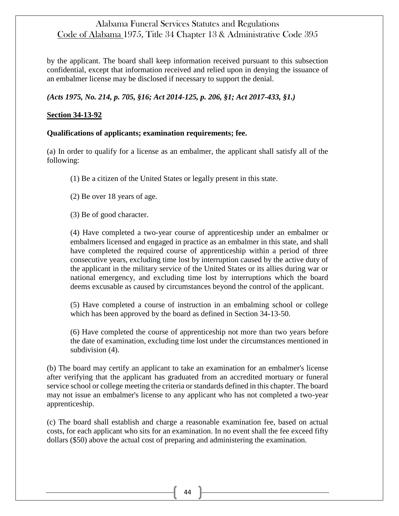by the applicant. The board shall keep information received pursuant to this subsection confidential, except that information received and relied upon in denying the issuance of an embalmer license may be disclosed if necessary to support the denial.

*(Acts 1975, No. 214, p. 705, §16; Act 2014-125, p. 206, §1; Act 2017-433, §1.)*

## **Section 34-13-92**

### **Qualifications of applicants; examination requirements; fee.**

(a) In order to qualify for a license as an embalmer, the applicant shall satisfy all of the following:

(1) Be a citizen of the United States or legally present in this state.

(2) Be over 18 years of age.

(3) Be of good character.

(4) Have completed a two-year course of apprenticeship under an embalmer or embalmers licensed and engaged in practice as an embalmer in this state, and shall have completed the required course of apprenticeship within a period of three consecutive years, excluding time lost by interruption caused by the active duty of the applicant in the military service of the United States or its allies during war or national emergency, and excluding time lost by interruptions which the board deems excusable as caused by circumstances beyond the control of the applicant.

(5) Have completed a course of instruction in an embalming school or college which has been approved by the board as defined in Section 34-13-50.

(6) Have completed the course of apprenticeship not more than two years before the date of examination, excluding time lost under the circumstances mentioned in subdivision  $(4)$ .

(b) The board may certify an applicant to take an examination for an embalmer's license after verifying that the applicant has graduated from an accredited mortuary or funeral service school or college meeting the criteria or standards defined in this chapter. The board may not issue an embalmer's license to any applicant who has not completed a two-year apprenticeship.

(c) The board shall establish and charge a reasonable examination fee, based on actual costs, for each applicant who sits for an examination. In no event shall the fee exceed fifty dollars (\$50) above the actual cost of preparing and administering the examination.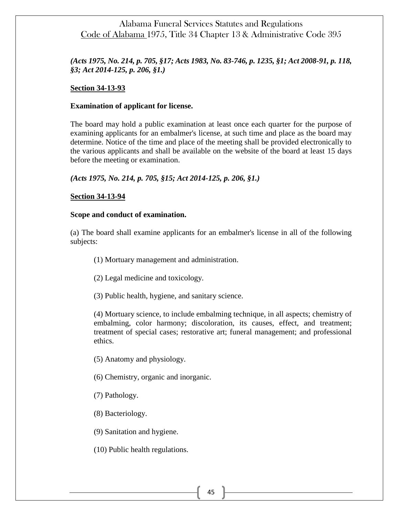## *(Acts 1975, No. 214, p. 705, §17; Acts 1983, No. 83-746, p. 1235, §1; Act 2008-91, p. 118, §3; Act 2014-125, p. 206, §1.)*

### **Section 34-13-93**

### **Examination of applicant for license.**

The board may hold a public examination at least once each quarter for the purpose of examining applicants for an embalmer's license, at such time and place as the board may determine. Notice of the time and place of the meeting shall be provided electronically to the various applicants and shall be available on the website of the board at least 15 days before the meeting or examination.

*(Acts 1975, No. 214, p. 705, §15; Act 2014-125, p. 206, §1.)*

### **Section 34-13-94**

#### **Scope and conduct of examination.**

(a) The board shall examine applicants for an embalmer's license in all of the following subjects:

- (1) Mortuary management and administration.
- (2) Legal medicine and toxicology.
- (3) Public health, hygiene, and sanitary science.

(4) Mortuary science, to include embalming technique, in all aspects; chemistry of embalming, color harmony; discoloration, its causes, effect, and treatment; treatment of special cases; restorative art; funeral management; and professional ethics.

(5) Anatomy and physiology.

- (6) Chemistry, organic and inorganic.
- (7) Pathology.
- (8) Bacteriology.

(9) Sanitation and hygiene.

(10) Public health regulations.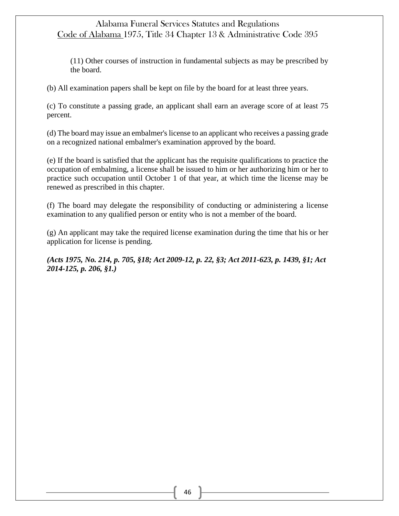(11) Other courses of instruction in fundamental subjects as may be prescribed by the board.

(b) All examination papers shall be kept on file by the board for at least three years.

(c) To constitute a passing grade, an applicant shall earn an average score of at least 75 percent.

(d) The board may issue an embalmer's license to an applicant who receives a passing grade on a recognized national embalmer's examination approved by the board.

(e) If the board is satisfied that the applicant has the requisite qualifications to practice the occupation of embalming, a license shall be issued to him or her authorizing him or her to practice such occupation until October 1 of that year, at which time the license may be renewed as prescribed in this chapter.

(f) The board may delegate the responsibility of conducting or administering a license examination to any qualified person or entity who is not a member of the board.

(g) An applicant may take the required license examination during the time that his or her application for license is pending.

*(Acts 1975, No. 214, p. 705, §18; Act 2009-12, p. 22, §3; Act 2011-623, p. 1439, §1; Act 2014-125, p. 206, §1.)*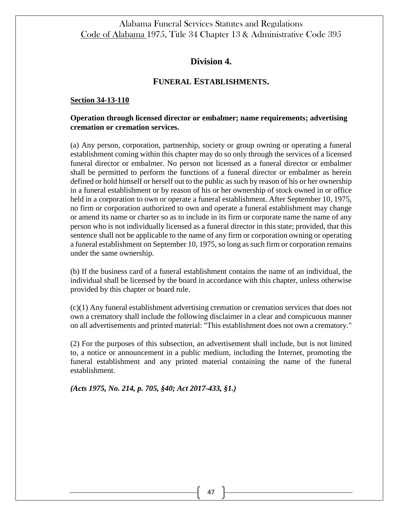## **Division 4.**

## **FUNERAL ESTABLISHMENTS.**

#### **Section 34-13-110**

### **Operation through licensed director or embalmer; name requirements; advertising cremation or cremation services.**

(a) Any person, corporation, partnership, society or group owning or operating a funeral establishment coming within this chapter may do so only through the services of a licensed funeral director or embalmer. No person not licensed as a funeral director or embalmer shall be permitted to perform the functions of a funeral director or embalmer as herein defined or hold himself or herself out to the public as such by reason of his or her ownership in a funeral establishment or by reason of his or her ownership of stock owned in or office held in a corporation to own or operate a funeral establishment. After September 10, 1975, no firm or corporation authorized to own and operate a funeral establishment may change or amend its name or charter so as to include in its firm or corporate name the name of any person who is not individually licensed as a funeral director in this state; provided, that this sentence shall not be applicable to the name of any firm or corporation owning or operating a funeral establishment on September 10, 1975, so long as such firm or corporation remains under the same ownership.

(b) If the business card of a funeral establishment contains the name of an individual, the individual shall be licensed by the board in accordance with this chapter, unless otherwise provided by this chapter or board rule.

(c)(1) Any funeral establishment advertising cremation or cremation services that does not own a crematory shall include the following disclaimer in a clear and conspicuous manner on all advertisements and printed material: "This establishment does not own a crematory."

(2) For the purposes of this subsection, an advertisement shall include, but is not limited to, a notice or announcement in a public medium, including the Internet, promoting the funeral establishment and any printed material containing the name of the funeral establishment.

*(Acts 1975, No. 214, p. 705, §40; Act 2017-433, §1.)*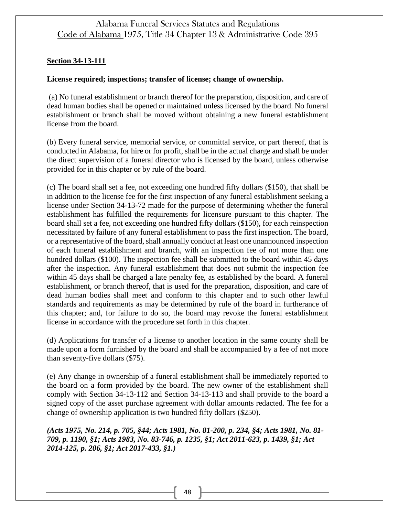## **Section 34-13-111**

### **License required; inspections; transfer of license; change of ownership.**

(a) No funeral establishment or branch thereof for the preparation, disposition, and care of dead human bodies shall be opened or maintained unless licensed by the board. No funeral establishment or branch shall be moved without obtaining a new funeral establishment license from the board.

(b) Every funeral service, memorial service, or committal service, or part thereof, that is conducted in Alabama, for hire or for profit, shall be in the actual charge and shall be under the direct supervision of a funeral director who is licensed by the board, unless otherwise provided for in this chapter or by rule of the board.

(c) The board shall set a fee, not exceeding one hundred fifty dollars (\$150), that shall be in addition to the license fee for the first inspection of any funeral establishment seeking a license under Section 34-13-72 made for the purpose of determining whether the funeral establishment has fulfilled the requirements for licensure pursuant to this chapter. The board shall set a fee, not exceeding one hundred fifty dollars (\$150), for each reinspection necessitated by failure of any funeral establishment to pass the first inspection. The board, or a representative of the board, shall annually conduct at least one unannounced inspection of each funeral establishment and branch, with an inspection fee of not more than one hundred dollars (\$100). The inspection fee shall be submitted to the board within 45 days after the inspection. Any funeral establishment that does not submit the inspection fee within 45 days shall be charged a late penalty fee, as established by the board. A funeral establishment, or branch thereof, that is used for the preparation, disposition, and care of dead human bodies shall meet and conform to this chapter and to such other lawful standards and requirements as may be determined by rule of the board in furtherance of this chapter; and, for failure to do so, the board may revoke the funeral establishment license in accordance with the procedure set forth in this chapter.

(d) Applications for transfer of a license to another location in the same county shall be made upon a form furnished by the board and shall be accompanied by a fee of not more than seventy-five dollars (\$75).

(e) Any change in ownership of a funeral establishment shall be immediately reported to the board on a form provided by the board. The new owner of the establishment shall comply with Section 34-13-112 and Section 34-13-113 and shall provide to the board a signed copy of the asset purchase agreement with dollar amounts redacted. The fee for a change of ownership application is two hundred fifty dollars (\$250).

*(Acts 1975, No. 214, p. 705, §44; Acts 1981, No. 81-200, p. 234, §4; Acts 1981, No. 81- 709, p. 1190, §1; Acts 1983, No. 83-746, p. 1235, §1; Act 2011-623, p. 1439, §1; Act 2014-125, p. 206, §1; Act 2017-433, §1.)*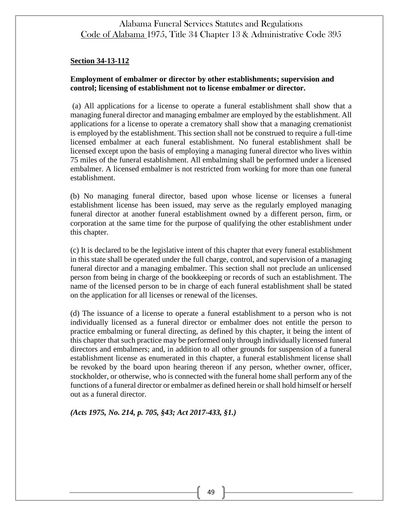### **Section 34-13-112**

### **Employment of embalmer or director by other establishments; supervision and control; licensing of establishment not to license embalmer or director.**

(a) All applications for a license to operate a funeral establishment shall show that a managing funeral director and managing embalmer are employed by the establishment. All applications for a license to operate a crematory shall show that a managing cremationist is employed by the establishment. This section shall not be construed to require a full-time licensed embalmer at each funeral establishment. No funeral establishment shall be licensed except upon the basis of employing a managing funeral director who lives within 75 miles of the funeral establishment. All embalming shall be performed under a licensed embalmer. A licensed embalmer is not restricted from working for more than one funeral establishment.

(b) No managing funeral director, based upon whose license or licenses a funeral establishment license has been issued, may serve as the regularly employed managing funeral director at another funeral establishment owned by a different person, firm, or corporation at the same time for the purpose of qualifying the other establishment under this chapter.

(c) It is declared to be the legislative intent of this chapter that every funeral establishment in this state shall be operated under the full charge, control, and supervision of a managing funeral director and a managing embalmer. This section shall not preclude an unlicensed person from being in charge of the bookkeeping or records of such an establishment. The name of the licensed person to be in charge of each funeral establishment shall be stated on the application for all licenses or renewal of the licenses.

(d) The issuance of a license to operate a funeral establishment to a person who is not individually licensed as a funeral director or embalmer does not entitle the person to practice embalming or funeral directing, as defined by this chapter, it being the intent of this chapter that such practice may be performed only through individually licensed funeral directors and embalmers; and, in addition to all other grounds for suspension of a funeral establishment license as enumerated in this chapter, a funeral establishment license shall be revoked by the board upon hearing thereon if any person, whether owner, officer, stockholder, or otherwise, who is connected with the funeral home shall perform any of the functions of a funeral director or embalmer as defined herein or shall hold himself or herself out as a funeral director.

*(Acts 1975, No. 214, p. 705, §43; Act 2017-433, §1.)*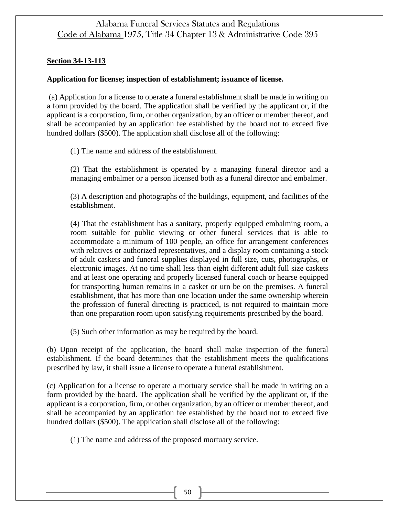### **Section 34-13-113**

### **Application for license; inspection of establishment; issuance of license.**

(a) Application for a license to operate a funeral establishment shall be made in writing on a form provided by the board. The application shall be verified by the applicant or, if the applicant is a corporation, firm, or other organization, by an officer or member thereof, and shall be accompanied by an application fee established by the board not to exceed five hundred dollars (\$500). The application shall disclose all of the following:

(1) The name and address of the establishment.

(2) That the establishment is operated by a managing funeral director and a managing embalmer or a person licensed both as a funeral director and embalmer.

(3) A description and photographs of the buildings, equipment, and facilities of the establishment.

(4) That the establishment has a sanitary, properly equipped embalming room, a room suitable for public viewing or other funeral services that is able to accommodate a minimum of 100 people, an office for arrangement conferences with relatives or authorized representatives, and a display room containing a stock of adult caskets and funeral supplies displayed in full size, cuts, photographs, or electronic images. At no time shall less than eight different adult full size caskets and at least one operating and properly licensed funeral coach or hearse equipped for transporting human remains in a casket or urn be on the premises. A funeral establishment, that has more than one location under the same ownership wherein the profession of funeral directing is practiced, is not required to maintain more than one preparation room upon satisfying requirements prescribed by the board.

(5) Such other information as may be required by the board.

(b) Upon receipt of the application, the board shall make inspection of the funeral establishment. If the board determines that the establishment meets the qualifications prescribed by law, it shall issue a license to operate a funeral establishment.

(c) Application for a license to operate a mortuary service shall be made in writing on a form provided by the board. The application shall be verified by the applicant or, if the applicant is a corporation, firm, or other organization, by an officer or member thereof, and shall be accompanied by an application fee established by the board not to exceed five hundred dollars (\$500). The application shall disclose all of the following:

(1) The name and address of the proposed mortuary service.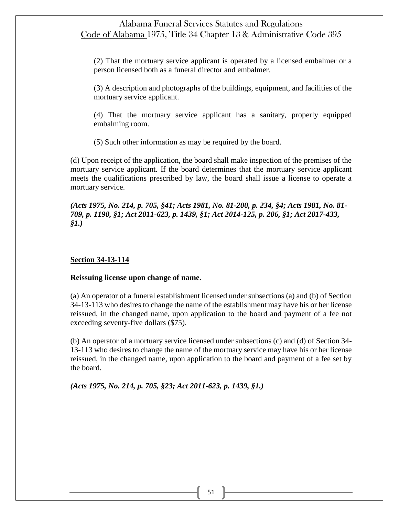(2) That the mortuary service applicant is operated by a licensed embalmer or a person licensed both as a funeral director and embalmer.

(3) A description and photographs of the buildings, equipment, and facilities of the mortuary service applicant.

(4) That the mortuary service applicant has a sanitary, properly equipped embalming room.

(5) Such other information as may be required by the board.

(d) Upon receipt of the application, the board shall make inspection of the premises of the mortuary service applicant. If the board determines that the mortuary service applicant meets the qualifications prescribed by law, the board shall issue a license to operate a mortuary service.

*(Acts 1975, No. 214, p. 705, §41; Acts 1981, No. 81-200, p. 234, §4; Acts 1981, No. 81- 709, p. 1190, §1; Act 2011-623, p. 1439, §1; Act 2014-125, p. 206, §1; Act 2017-433, §1.)*

#### **Section 34-13-114**

#### **Reissuing license upon change of name.**

(a) An operator of a funeral establishment licensed under subsections (a) and (b) of Section 34-13-113 who desires to change the name of the establishment may have his or her license reissued, in the changed name, upon application to the board and payment of a fee not exceeding seventy-five dollars (\$75).

(b) An operator of a mortuary service licensed under subsections (c) and (d) of Section 34- 13-113 who desires to change the name of the mortuary service may have his or her license reissued, in the changed name, upon application to the board and payment of a fee set by the board.

*(Acts 1975, No. 214, p. 705, §23; Act 2011-623, p. 1439, §1.)*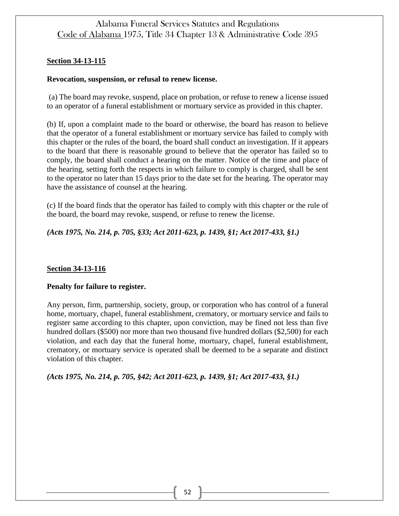## **Section 34-13-115**

### **Revocation, suspension, or refusal to renew license.**

(a) The board may revoke, suspend, place on probation, or refuse to renew a license issued to an operator of a funeral establishment or mortuary service as provided in this chapter.

(b) If, upon a complaint made to the board or otherwise, the board has reason to believe that the operator of a funeral establishment or mortuary service has failed to comply with this chapter or the rules of the board, the board shall conduct an investigation. If it appears to the board that there is reasonable ground to believe that the operator has failed so to comply, the board shall conduct a hearing on the matter. Notice of the time and place of the hearing, setting forth the respects in which failure to comply is charged, shall be sent to the operator no later than 15 days prior to the date set for the hearing. The operator may have the assistance of counsel at the hearing.

(c) If the board finds that the operator has failed to comply with this chapter or the rule of the board, the board may revoke, suspend, or refuse to renew the license.

*(Acts 1975, No. 214, p. 705, §33; Act 2011-623, p. 1439, §1; Act 2017-433, §1.)*

## **Section 34-13-116**

### **Penalty for failure to register.**

Any person, firm, partnership, society, group, or corporation who has control of a funeral home, mortuary, chapel, funeral establishment, crematory, or mortuary service and fails to register same according to this chapter, upon conviction, may be fined not less than five hundred dollars (\$500) nor more than two thousand five hundred dollars (\$2,500) for each violation, and each day that the funeral home, mortuary, chapel, funeral establishment, crematory, or mortuary service is operated shall be deemed to be a separate and distinct violation of this chapter.

*(Acts 1975, No. 214, p. 705, §42; Act 2011-623, p. 1439, §1; Act 2017-433, §1.)*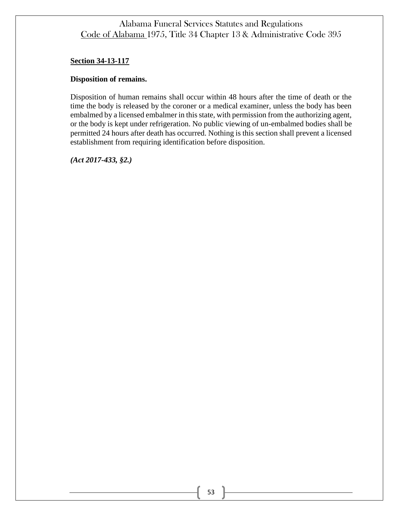### **Section 34-13-117**

### **Disposition of remains.**

Disposition of human remains shall occur within 48 hours after the time of death or the time the body is released by the coroner or a medical examiner, unless the body has been embalmed by a licensed embalmer in this state, with permission from the authorizing agent, or the body is kept under refrigeration. No public viewing of un-embalmed bodies shall be permitted 24 hours after death has occurred. Nothing is this section shall prevent a licensed establishment from requiring identification before disposition.

*(Act 2017-433, §2.)*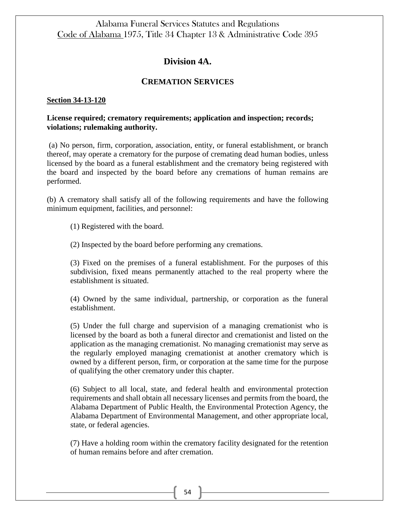## **Division 4A.**

### **CREMATION SERVICES**

#### **Section 34-13-120**

### **License required; crematory requirements; application and inspection; records; violations; rulemaking authority.**

(a) No person, firm, corporation, association, entity, or funeral establishment, or branch thereof, may operate a crematory for the purpose of cremating dead human bodies, unless licensed by the board as a funeral establishment and the crematory being registered with the board and inspected by the board before any cremations of human remains are performed.

(b) A crematory shall satisfy all of the following requirements and have the following minimum equipment, facilities, and personnel:

(1) Registered with the board.

(2) Inspected by the board before performing any cremations.

(3) Fixed on the premises of a funeral establishment. For the purposes of this subdivision, fixed means permanently attached to the real property where the establishment is situated.

(4) Owned by the same individual, partnership, or corporation as the funeral establishment.

(5) Under the full charge and supervision of a managing cremationist who is licensed by the board as both a funeral director and cremationist and listed on the application as the managing cremationist. No managing cremationist may serve as the regularly employed managing cremationist at another crematory which is owned by a different person, firm, or corporation at the same time for the purpose of qualifying the other crematory under this chapter.

(6) Subject to all local, state, and federal health and environmental protection requirements and shall obtain all necessary licenses and permits from the board, the Alabama Department of Public Health, the Environmental Protection Agency, the Alabama Department of Environmental Management, and other appropriate local, state, or federal agencies.

(7) Have a holding room within the crematory facility designated for the retention of human remains before and after cremation.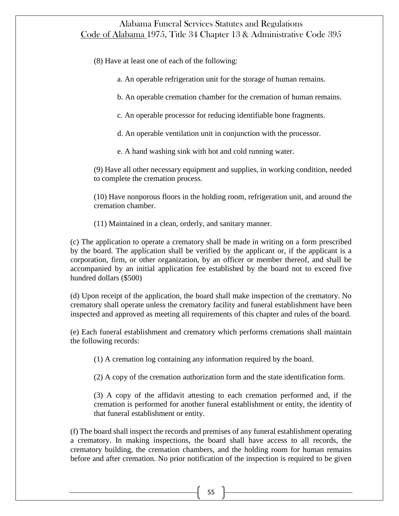(8) Have at least one of each of the following:

- a. An operable refrigeration unit for the storage of human remains.
- b. An operable cremation chamber for the cremation of human remains.
- c. An operable processor for reducing identifiable bone fragments.
- d. An operable ventilation unit in conjunction with the processor.
- e. A hand washing sink with hot and cold running water.

(9) Have all other necessary equipment and supplies, in working condition, needed to complete the cremation process.

(10) Have nonporous floors in the holding room, refrigeration unit, and around the cremation chamber.

(11) Maintained in a clean, orderly, and sanitary manner.

(c) The application to operate a crematory shall be made in writing on a form prescribed by the board. The application shall be verified by the applicant or, if the applicant is a corporation, firm, or other organization, by an officer or member thereof, and shall be accompanied by an initial application fee established by the board not to exceed five hundred dollars (\$500)

(d) Upon receipt of the application, the board shall make inspection of the crematory. No crematory shall operate unless the crematory facility and funeral establishment have been inspected and approved as meeting all requirements of this chapter and rules of the board.

(e) Each funeral establishment and crematory which performs cremations shall maintain the following records:

(1) A cremation log containing any information required by the board.

(2) A copy of the cremation authorization form and the state identification form.

(3) A copy of the affidavit attesting to each cremation performed and, if the cremation is performed for another funeral establishment or entity, the identity of that funeral establishment or entity.

(f) The board shall inspect the records and premises of any funeral establishment operating a crematory. In making inspections, the board shall have access to all records, the crematory building, the cremation chambers, and the holding room for human remains before and after cremation. No prior notification of the inspection is required to be given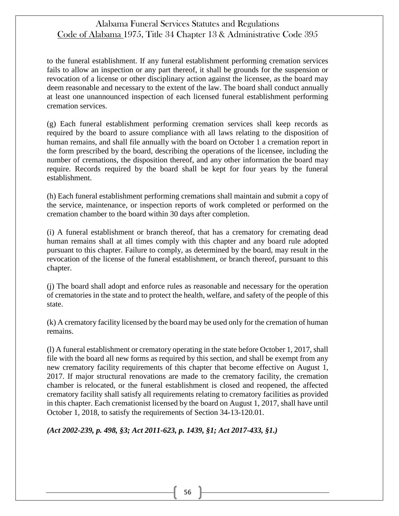to the funeral establishment. If any funeral establishment performing cremation services fails to allow an inspection or any part thereof, it shall be grounds for the suspension or revocation of a license or other disciplinary action against the licensee, as the board may deem reasonable and necessary to the extent of the law. The board shall conduct annually at least one unannounced inspection of each licensed funeral establishment performing cremation services.

(g) Each funeral establishment performing cremation services shall keep records as required by the board to assure compliance with all laws relating to the disposition of human remains, and shall file annually with the board on October 1 a cremation report in the form prescribed by the board, describing the operations of the licensee, including the number of cremations, the disposition thereof, and any other information the board may require. Records required by the board shall be kept for four years by the funeral establishment.

(h) Each funeral establishment performing cremations shall maintain and submit a copy of the service, maintenance, or inspection reports of work completed or performed on the cremation chamber to the board within 30 days after completion.

(i) A funeral establishment or branch thereof, that has a crematory for cremating dead human remains shall at all times comply with this chapter and any board rule adopted pursuant to this chapter. Failure to comply, as determined by the board, may result in the revocation of the license of the funeral establishment, or branch thereof, pursuant to this chapter.

(j) The board shall adopt and enforce rules as reasonable and necessary for the operation of crematories in the state and to protect the health, welfare, and safety of the people of this state.

(k) A crematory facility licensed by the board may be used only for the cremation of human remains.

(l) A funeral establishment or crematory operating in the state before October 1, 2017, shall file with the board all new forms as required by this section, and shall be exempt from any new crematory facility requirements of this chapter that become effective on August 1, 2017. If major structural renovations are made to the crematory facility, the cremation chamber is relocated, or the funeral establishment is closed and reopened, the affected crematory facility shall satisfy all requirements relating to crematory facilities as provided in this chapter. Each cremationist licensed by the board on August 1, 2017, shall have until October 1, 2018, to satisfy the requirements of Section 34-13-120.01.

*(Act 2002-239, p. 498, §3; Act 2011-623, p. 1439, §1; Act 2017-433, §1.)*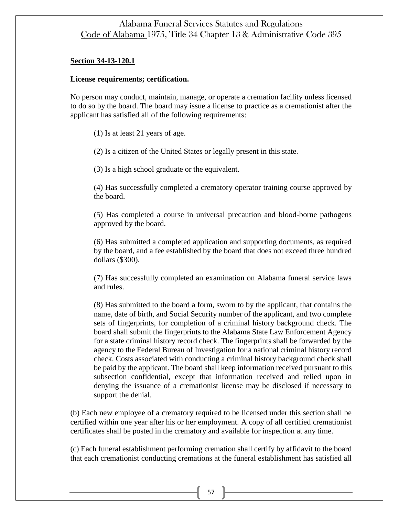#### **Section 34-13-120.1**

#### **License requirements; certification.**

No person may conduct, maintain, manage, or operate a cremation facility unless licensed to do so by the board. The board may issue a license to practice as a cremationist after the applicant has satisfied all of the following requirements:

(1) Is at least 21 years of age.

(2) Is a citizen of the United States or legally present in this state.

(3) Is a high school graduate or the equivalent.

(4) Has successfully completed a crematory operator training course approved by the board.

(5) Has completed a course in universal precaution and blood-borne pathogens approved by the board.

(6) Has submitted a completed application and supporting documents, as required by the board, and a fee established by the board that does not exceed three hundred dollars (\$300).

(7) Has successfully completed an examination on Alabama funeral service laws and rules.

(8) Has submitted to the board a form, sworn to by the applicant, that contains the name, date of birth, and Social Security number of the applicant, and two complete sets of fingerprints, for completion of a criminal history background check. The board shall submit the fingerprints to the Alabama State Law Enforcement Agency for a state criminal history record check. The fingerprints shall be forwarded by the agency to the Federal Bureau of Investigation for a national criminal history record check. Costs associated with conducting a criminal history background check shall be paid by the applicant. The board shall keep information received pursuant to this subsection confidential, except that information received and relied upon in denying the issuance of a cremationist license may be disclosed if necessary to support the denial.

(b) Each new employee of a crematory required to be licensed under this section shall be certified within one year after his or her employment. A copy of all certified cremationist certificates shall be posted in the crematory and available for inspection at any time.

(c) Each funeral establishment performing cremation shall certify by affidavit to the board that each cremationist conducting cremations at the funeral establishment has satisfied all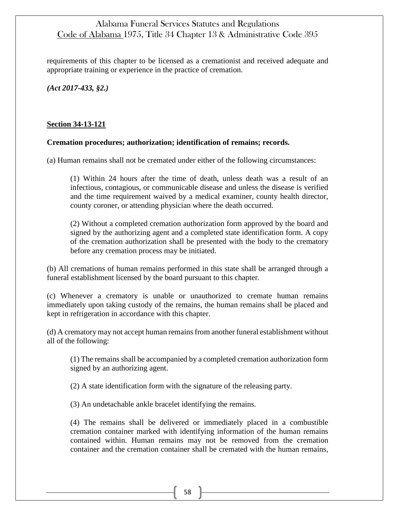requirements of this chapter to be licensed as a cremationist and received adequate and appropriate training or experience in the practice of cremation.

*(Act 2017-433, §2.)*

## **Section 34-13-121**

### **Cremation procedures; authorization; identification of remains; records.**

(a) Human remains shall not be cremated under either of the following circumstances:

(1) Within 24 hours after the time of death, unless death was a result of an infectious, contagious, or communicable disease and unless the disease is verified and the time requirement waived by a medical examiner, county health director, county coroner, or attending physician where the death occurred.

(2) Without a completed cremation authorization form approved by the board and signed by the authorizing agent and a completed state identification form. A copy of the cremation authorization shall be presented with the body to the crematory before any cremation process may be initiated.

(b) All cremations of human remains performed in this state shall be arranged through a funeral establishment licensed by the board pursuant to this chapter.

(c) Whenever a crematory is unable or unauthorized to cremate human remains immediately upon taking custody of the remains, the human remains shall be placed and kept in refrigeration in accordance with this chapter.

(d) A crematory may not accept human remains from another funeral establishment without all of the following:

(1) The remains shall be accompanied by a completed cremation authorization form signed by an authorizing agent.

(2) A state identification form with the signature of the releasing party.

(3) An undetachable ankle bracelet identifying the remains.

(4) The remains shall be delivered or immediately placed in a combustible cremation container marked with identifying information of the human remains contained within. Human remains may not be removed from the cremation container and the cremation container shall be cremated with the human remains,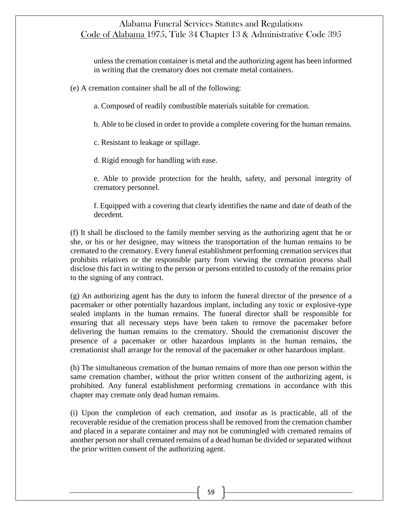unless the cremation container is metal and the authorizing agent has been informed in writing that the crematory does not cremate metal containers.

(e) A cremation container shall be all of the following:

a. Composed of readily combustible materials suitable for cremation.

b. Able to be closed in order to provide a complete covering for the human remains.

c. Resistant to leakage or spillage.

d. Rigid enough for handling with ease.

e. Able to provide protection for the health, safety, and personal integrity of crematory personnel.

f. Equipped with a covering that clearly identifies the name and date of death of the decedent.

(f) It shall be disclosed to the family member serving as the authorizing agent that he or she, or his or her designee, may witness the transportation of the human remains to be cremated to the crematory. Every funeral establishment performing cremation services that prohibits relatives or the responsible party from viewing the cremation process shall disclose this fact in writing to the person or persons entitled to custody of the remains prior to the signing of any contract.

(g) An authorizing agent has the duty to inform the funeral director of the presence of a pacemaker or other potentially hazardous implant, including any toxic or explosive-type sealed implants in the human remains. The funeral director shall be responsible for ensuring that all necessary steps have been taken to remove the pacemaker before delivering the human remains to the crematory. Should the cremationist discover the presence of a pacemaker or other hazardous implants in the human remains, the cremationist shall arrange for the removal of the pacemaker or other hazardous implant.

(h) The simultaneous cremation of the human remains of more than one person within the same cremation chamber, without the prior written consent of the authorizing agent, is prohibited. Any funeral establishment performing cremations in accordance with this chapter may cremate only dead human remains.

(i) Upon the completion of each cremation, and insofar as is practicable, all of the recoverable residue of the cremation process shall be removed from the cremation chamber and placed in a separate container and may not be commingled with cremated remains of another person nor shall cremated remains of a dead human be divided or separated without the prior written consent of the authorizing agent.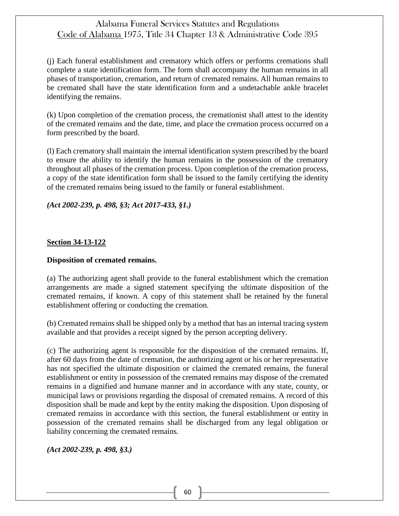(j) Each funeral establishment and crematory which offers or performs cremations shall complete a state identification form. The form shall accompany the human remains in all phases of transportation, cremation, and return of cremated remains. All human remains to be cremated shall have the state identification form and a undetachable ankle bracelet identifying the remains.

(k) Upon completion of the cremation process, the cremationist shall attest to the identity of the cremated remains and the date, time, and place the cremation process occurred on a form prescribed by the board.

(l) Each crematory shall maintain the internal identification system prescribed by the board to ensure the ability to identify the human remains in the possession of the crematory throughout all phases of the cremation process. Upon completion of the cremation process, a copy of the state identification form shall be issued to the family certifying the identity of the cremated remains being issued to the family or funeral establishment.

## *(Act 2002-239, p. 498, §3; Act 2017-433, §1.)*

## **Section 34-13-122**

### **Disposition of cremated remains.**

(a) The authorizing agent shall provide to the funeral establishment which the cremation arrangements are made a signed statement specifying the ultimate disposition of the cremated remains, if known. A copy of this statement shall be retained by the funeral establishment offering or conducting the cremation.

(b) Cremated remains shall be shipped only by a method that has an internal tracing system available and that provides a receipt signed by the person accepting delivery.

(c) The authorizing agent is responsible for the disposition of the cremated remains. If, after 60 days from the date of cremation, the authorizing agent or his or her representative has not specified the ultimate disposition or claimed the cremated remains, the funeral establishment or entity in possession of the cremated remains may dispose of the cremated remains in a dignified and humane manner and in accordance with any state, county, or municipal laws or provisions regarding the disposal of cremated remains. A record of this disposition shall be made and kept by the entity making the disposition. Upon disposing of cremated remains in accordance with this section, the funeral establishment or entity in possession of the cremated remains shall be discharged from any legal obligation or liability concerning the cremated remains.

*(Act 2002-239, p. 498, §3.)*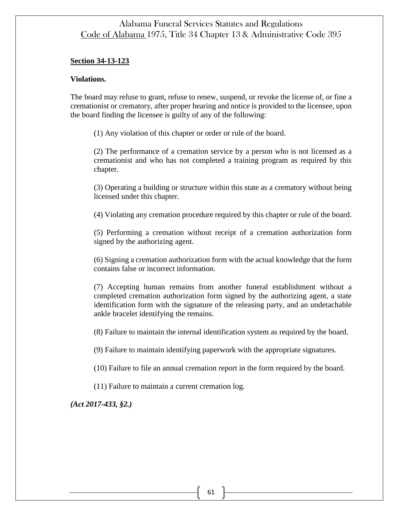### **Section 34-13-123**

#### **Violations.**

The board may refuse to grant, refuse to renew, suspend, or revoke the license of, or fine a cremationist or crematory, after proper hearing and notice is provided to the licensee, upon the board finding the licensee is guilty of any of the following:

(1) Any violation of this chapter or order or rule of the board.

(2) The performance of a cremation service by a person who is not licensed as a cremationist and who has not completed a training program as required by this chapter.

(3) Operating a building or structure within this state as a crematory without being licensed under this chapter.

(4) Violating any cremation procedure required by this chapter or rule of the board.

(5) Performing a cremation without receipt of a cremation authorization form signed by the authorizing agent.

(6) Signing a cremation authorization form with the actual knowledge that the form contains false or incorrect information.

(7) Accepting human remains from another funeral establishment without a completed cremation authorization form signed by the authorizing agent, a state identification form with the signature of the releasing party, and an undetachable ankle bracelet identifying the remains.

(8) Failure to maintain the internal identification system as required by the board.

(9) Failure to maintain identifying paperwork with the appropriate signatures.

(10) Failure to file an annual cremation report in the form required by the board.

(11) Failure to maintain a current cremation log.

*(Act 2017-433, §2.)*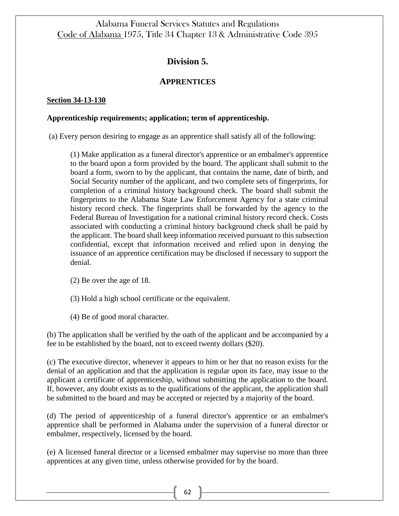# **Division 5.**

## **APPRENTICES**

## **Section 34-13-130**

### **Apprenticeship requirements; application; term of apprenticeship.**

(a) Every person desiring to engage as an apprentice shall satisfy all of the following:

(1) Make application as a funeral director's apprentice or an embalmer's apprentice to the board upon a form provided by the board. The applicant shall submit to the board a form, sworn to by the applicant, that contains the name, date of birth, and Social Security number of the applicant, and two complete sets of fingerprints, for completion of a criminal history background check. The board shall submit the fingerprints to the Alabama State Law Enforcement Agency for a state criminal history record check. The fingerprints shall be forwarded by the agency to the Federal Bureau of Investigation for a national criminal history record check. Costs associated with conducting a criminal history background check shall be paid by the applicant. The board shall keep information received pursuant to this subsection confidential, except that information received and relied upon in denying the issuance of an apprentice certification may be disclosed if necessary to support the denial.

(2) Be over the age of 18.

(3) Hold a high school certificate or the equivalent.

(4) Be of good moral character.

(b) The application shall be verified by the oath of the applicant and be accompanied by a fee to be established by the board, not to exceed twenty dollars (\$20).

(c) The executive director, whenever it appears to him or her that no reason exists for the denial of an application and that the application is regular upon its face, may issue to the applicant a certificate of apprenticeship, without submitting the application to the board. If, however, any doubt exists as to the qualifications of the applicant, the application shall be submitted to the board and may be accepted or rejected by a majority of the board.

(d) The period of apprenticeship of a funeral director's apprentice or an embalmer's apprentice shall be performed in Alabama under the supervision of a funeral director or embalmer, respectively, licensed by the board.

(e) A licensed funeral director or a licensed embalmer may supervise no more than three apprentices at any given time, unless otherwise provided for by the board.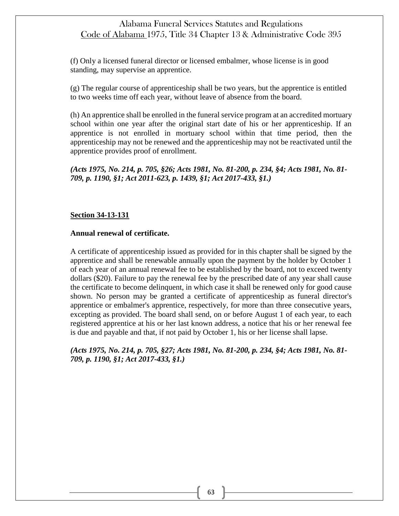(f) Only a licensed funeral director or licensed embalmer, whose license is in good standing, may supervise an apprentice.

(g) The regular course of apprenticeship shall be two years, but the apprentice is entitled to two weeks time off each year, without leave of absence from the board.

(h) An apprentice shall be enrolled in the funeral service program at an accredited mortuary school within one year after the original start date of his or her apprenticeship. If an apprentice is not enrolled in mortuary school within that time period, then the apprenticeship may not be renewed and the apprenticeship may not be reactivated until the apprentice provides proof of enrollment.

*(Acts 1975, No. 214, p. 705, §26; Acts 1981, No. 81-200, p. 234, §4; Acts 1981, No. 81- 709, p. 1190, §1; Act 2011-623, p. 1439, §1; Act 2017-433, §1.)*

### **Section 34-13-131**

#### **Annual renewal of certificate.**

A certificate of apprenticeship issued as provided for in this chapter shall be signed by the apprentice and shall be renewable annually upon the payment by the holder by October 1 of each year of an annual renewal fee to be established by the board, not to exceed twenty dollars (\$20). Failure to pay the renewal fee by the prescribed date of any year shall cause the certificate to become delinquent, in which case it shall be renewed only for good cause shown. No person may be granted a certificate of apprenticeship as funeral director's apprentice or embalmer's apprentice, respectively, for more than three consecutive years, excepting as provided. The board shall send, on or before August 1 of each year, to each registered apprentice at his or her last known address, a notice that his or her renewal fee is due and payable and that, if not paid by October 1, his or her license shall lapse.

*(Acts 1975, No. 214, p. 705, §27; Acts 1981, No. 81-200, p. 234, §4; Acts 1981, No. 81- 709, p. 1190, §1; Act 2017-433, §1.)*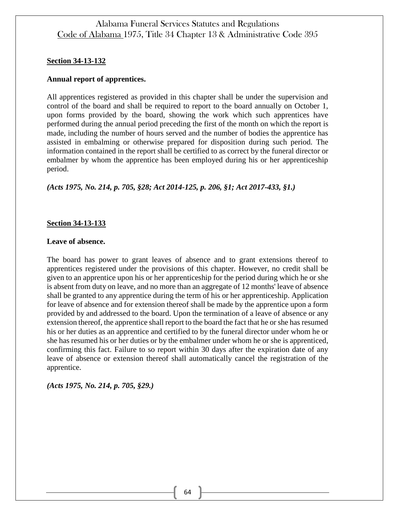### **Section 34-13-132**

#### **Annual report of apprentices.**

All apprentices registered as provided in this chapter shall be under the supervision and control of the board and shall be required to report to the board annually on October 1, upon forms provided by the board, showing the work which such apprentices have performed during the annual period preceding the first of the month on which the report is made, including the number of hours served and the number of bodies the apprentice has assisted in embalming or otherwise prepared for disposition during such period. The information contained in the report shall be certified to as correct by the funeral director or embalmer by whom the apprentice has been employed during his or her apprenticeship period.

*(Acts 1975, No. 214, p. 705, §28; Act 2014-125, p. 206, §1; Act 2017-433, §1.)*

#### **Section 34-13-133**

#### **Leave of absence.**

The board has power to grant leaves of absence and to grant extensions thereof to apprentices registered under the provisions of this chapter. However, no credit shall be given to an apprentice upon his or her apprenticeship for the period during which he or she is absent from duty on leave, and no more than an aggregate of 12 months' leave of absence shall be granted to any apprentice during the term of his or her apprenticeship. Application for leave of absence and for extension thereof shall be made by the apprentice upon a form provided by and addressed to the board. Upon the termination of a leave of absence or any extension thereof, the apprentice shall report to the board the fact that he or she has resumed his or her duties as an apprentice and certified to by the funeral director under whom he or she has resumed his or her duties or by the embalmer under whom he or she is apprenticed, confirming this fact. Failure to so report within 30 days after the expiration date of any leave of absence or extension thereof shall automatically cancel the registration of the apprentice.

*(Acts 1975, No. 214, p. 705, §29.)*